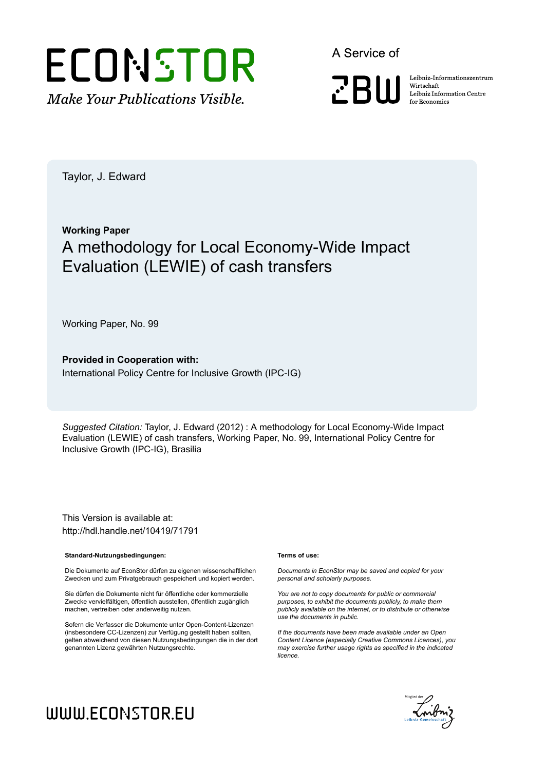

A Service of

**PRIII** 

Leibniz Informationszentrum Wirtschaft Leibniz Information Centre for Economics

Taylor, J. Edward

# **Working Paper** A methodology for Local Economy-Wide Impact Evaluation (LEWIE) of cash transfers

Working Paper, No. 99

**Provided in Cooperation with:** International Policy Centre for Inclusive Growth (IPC-IG)

*Suggested Citation:* Taylor, J. Edward (2012) : A methodology for Local Economy-Wide Impact Evaluation (LEWIE) of cash transfers, Working Paper, No. 99, International Policy Centre for Inclusive Growth (IPC-IG), Brasilia

This Version is available at: http://hdl.handle.net/10419/71791

#### **Standard-Nutzungsbedingungen:**

Die Dokumente auf EconStor dürfen zu eigenen wissenschaftlichen Zwecken und zum Privatgebrauch gespeichert und kopiert werden.

Sie dürfen die Dokumente nicht für öffentliche oder kommerzielle Zwecke vervielfältigen, öffentlich ausstellen, öffentlich zugänglich machen, vertreiben oder anderweitig nutzen.

Sofern die Verfasser die Dokumente unter Open-Content-Lizenzen (insbesondere CC-Lizenzen) zur Verfügung gestellt haben sollten, gelten abweichend von diesen Nutzungsbedingungen die in der dort genannten Lizenz gewährten Nutzungsrechte.

#### **Terms of use:**

*Documents in EconStor may be saved and copied for your personal and scholarly purposes.*

*You are not to copy documents for public or commercial purposes, to exhibit the documents publicly, to make them publicly available on the internet, or to distribute or otherwise use the documents in public.*

*If the documents have been made available under an Open Content Licence (especially Creative Commons Licences), you may exercise further usage rights as specified in the indicated licence.*



# WWW.ECONSTOR.EU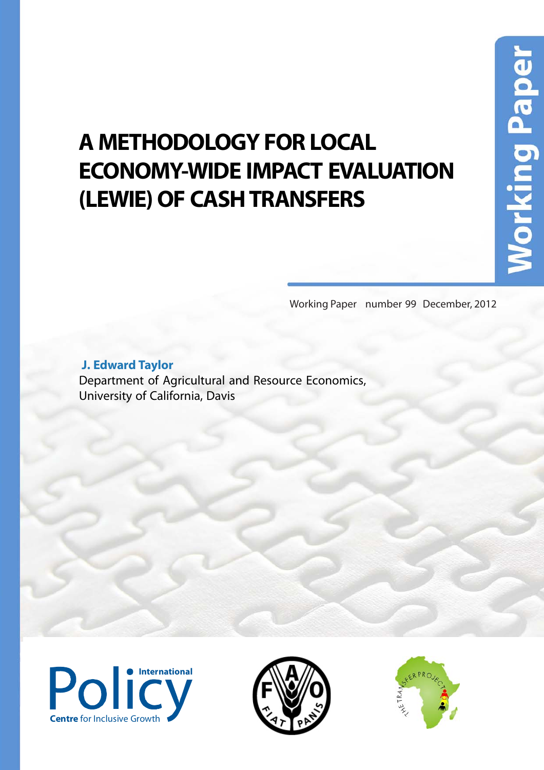# **A METHODOLOGY FOR LOCAL ECONOMY-WIDE IMPACT EVALUATION (LEWIE) OF CASH TRANSFERS**

Working Paper number 99 December, 2012

 **J. Edward Taylor** 

Department of Agricultural and Resource Economics, University of California, Davis





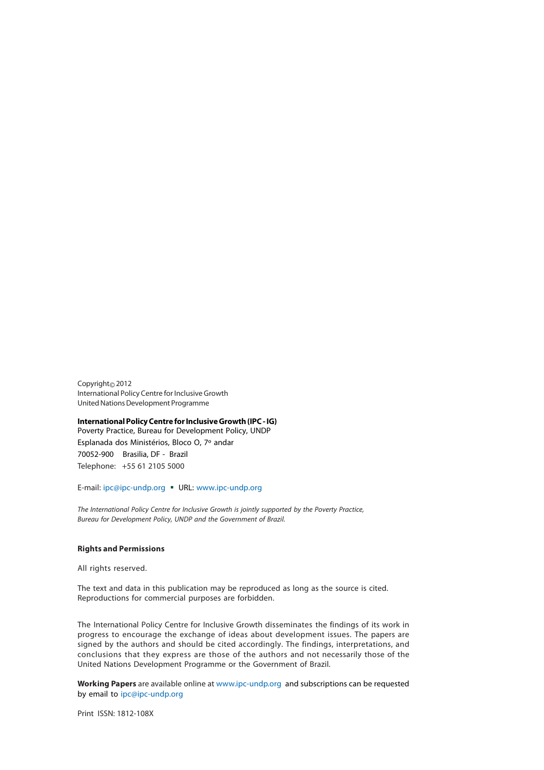Copyright© 2012 International Policy Centre for Inclusive Growth United Nations Development Programme

#### **International Policy Centre for Inclusive Growth (IPC - IG)** Poverty Practice, Bureau for Development Policy, UNDP

Esplanada dos Ministérios, Bloco O, 7º andar 70052-900 Brasilia, DF - Brazil Telephone: +55 61 2105 5000

E-mail: ipc@ipc-undp.org URL: www.ipc-undp.org

The International Policy Centre for Inclusive Growth is jointly supported by the Poverty Practice, Bureau for Development Policy, UNDP and the Government of Brazil.

#### **Rights and Permissions**

All rights reserved.

The text and data in this publication may be reproduced as long as the source is cited. Reproductions for commercial purposes are forbidden.

The International Policy Centre for Inclusive Growth disseminates the findings of its work in progress to encourage the exchange of ideas about development issues. The papers are signed by the authors and should be cited accordingly. The findings, interpretations, and conclusions that they express are those of the authors and not necessarily those of the United Nations Development Programme or the Government of Brazil.

**Working Papers** are available online at www.ipc-undp.org and subscriptions can be requested by email to ipc@ipc-undp.org

Print ISSN: 1812-108X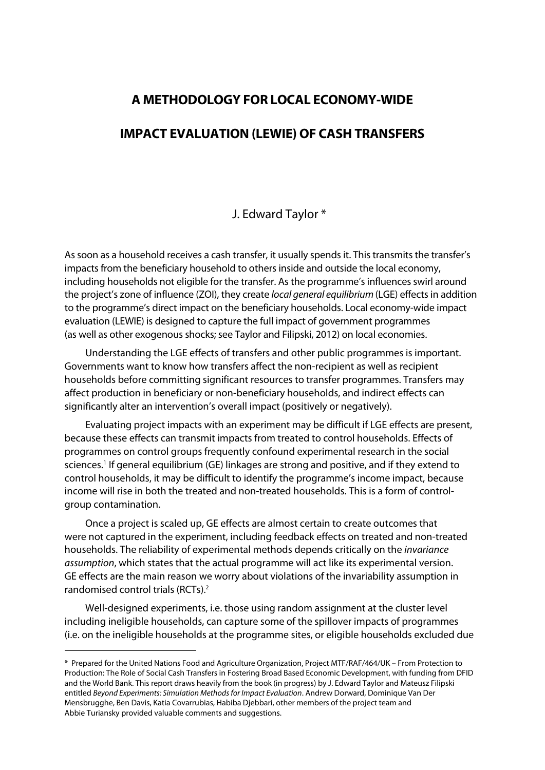# **A METHODOLOGY FOR LOCAL ECONOMY-WIDE**

# **IMPACT EVALUATION (LEWIE) OF CASH TRANSFERS**

## J. Edward Taylor \*

As soon as a household receives a cash transfer, it usually spends it. This transmits the transfer's impacts from the beneficiary household to others inside and outside the local economy, including households not eligible for the transfer. As the programme's influences swirl around the project's zone of influence (ZOI), they create local general equilibrium (LGE) effects in addition to the programme's direct impact on the beneficiary households. Local economy-wide impact evaluation (LEWIE) is designed to capture the full impact of government programmes (as well as other exogenous shocks; see Taylor and Filipski, 2012) on local economies.

Understanding the LGE effects of transfers and other public programmes is important. Governments want to know how transfers affect the non-recipient as well as recipient households before committing significant resources to transfer programmes. Transfers may affect production in beneficiary or non-beneficiary households, and indirect effects can significantly alter an intervention's overall impact (positively or negatively).

Evaluating project impacts with an experiment may be difficult if LGE effects are present, because these effects can transmit impacts from treated to control households. Effects of programmes on control groups frequently confound experimental research in the social sciences.<sup>1</sup> If general equilibrium (GE) linkages are strong and positive, and if they extend to control households, it may be difficult to identify the programme's income impact, because income will rise in both the treated and non-treated households. This is a form of controlgroup contamination.

Once a project is scaled up, GE effects are almost certain to create outcomes that were not captured in the experiment, including feedback effects on treated and non-treated households. The reliability of experimental methods depends critically on the invariance assumption, which states that the actual programme will act like its experimental version. GE effects are the main reason we worry about violations of the invariability assumption in randomised control trials (RCTs). 2

Well-designed experiments, i.e. those using random assignment at the cluster level including ineligible households, can capture some of the spillover impacts of programmes (i.e. on the ineligible households at the programme sites, or eligible households excluded due

 $\overline{a}$ 

<sup>\*</sup> Prepared for the United Nations Food and Agriculture Organization, Project MTF/RAF/464/UK – From Protection to Production: The Role of Social Cash Transfers in Fostering Broad Based Economic Development, with funding from DFID and the World Bank. This report draws heavily from the book (in progress) by J. Edward Taylor and Mateusz Filipski entitled Beyond Experiments: Simulation Methods for Impact Evaluation. Andrew Dorward, Dominique Van Der Mensbrugghe, Ben Davis, Katia Covarrubias, Habiba Djebbari, other members of the project team and Abbie Turiansky provided valuable comments and suggestions.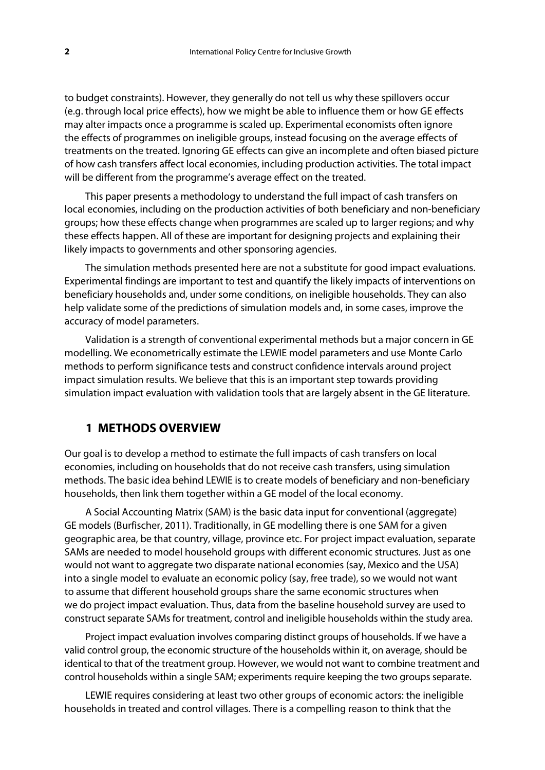to budget constraints). However, they generally do not tell us why these spillovers occur (e.g. through local price effects), how we might be able to influence them or how GE effects may alter impacts once a programme is scaled up. Experimental economists often ignore the effects of programmes on ineligible groups, instead focusing on the average effects of treatments on the treated. Ignoring GE effects can give an incomplete and often biased picture of how cash transfers affect local economies, including production activities. The total impact will be different from the programme's average effect on the treated.

This paper presents a methodology to understand the full impact of cash transfers on local economies, including on the production activities of both beneficiary and non-beneficiary groups; how these effects change when programmes are scaled up to larger regions; and why these effects happen. All of these are important for designing projects and explaining their likely impacts to governments and other sponsoring agencies.

The simulation methods presented here are not a substitute for good impact evaluations. Experimental findings are important to test and quantify the likely impacts of interventions on beneficiary households and, under some conditions, on ineligible households. They can also help validate some of the predictions of simulation models and, in some cases, improve the accuracy of model parameters.

Validation is a strength of conventional experimental methods but a major concern in GE modelling. We econometrically estimate the LEWIE model parameters and use Monte Carlo methods to perform significance tests and construct confidence intervals around project impact simulation results. We believe that this is an important step towards providing simulation impact evaluation with validation tools that are largely absent in the GE literature.

# **1 METHODS OVERVIEW**

Our goal is to develop a method to estimate the full impacts of cash transfers on local economies, including on households that do not receive cash transfers, using simulation methods. The basic idea behind LEWIE is to create models of beneficiary and non-beneficiary households, then link them together within a GE model of the local economy.

A Social Accounting Matrix (SAM) is the basic data input for conventional (aggregate) GE models (Burfischer, 2011). Traditionally, in GE modelling there is one SAM for a given geographic area, be that country, village, province etc. For project impact evaluation, separate SAMs are needed to model household groups with different economic structures. Just as one would not want to aggregate two disparate national economies (say, Mexico and the USA) into a single model to evaluate an economic policy (say, free trade), so we would not want to assume that different household groups share the same economic structures when we do project impact evaluation. Thus, data from the baseline household survey are used to construct separate SAMs for treatment, control and ineligible households within the study area.

Project impact evaluation involves comparing distinct groups of households. If we have a valid control group, the economic structure of the households within it, on average, should be identical to that of the treatment group. However, we would not want to combine treatment and control households within a single SAM; experiments require keeping the two groups separate.

LEWIE requires considering at least two other groups of economic actors: the ineligible households in treated and control villages. There is a compelling reason to think that the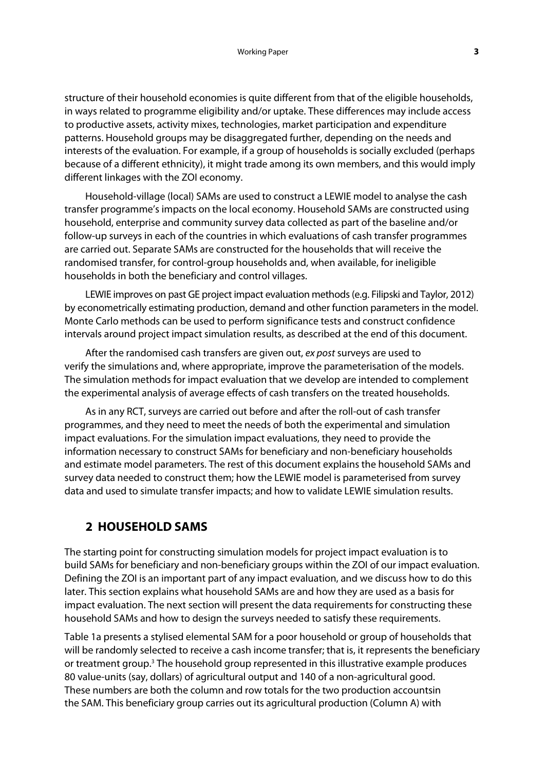structure of their household economies is quite different from that of the eligible households, in ways related to programme eligibility and/or uptake. These differences may include access to productive assets, activity mixes, technologies, market participation and expenditure patterns. Household groups may be disaggregated further, depending on the needs and interests of the evaluation. For example, if a group of households is socially excluded (perhaps because of a different ethnicity), it might trade among its own members, and this would imply different linkages with the ZOI economy.

Household-village (local) SAMs are used to construct a LEWIE model to analyse the cash transfer programme's impacts on the local economy. Household SAMs are constructed using household, enterprise and community survey data collected as part of the baseline and/or follow-up surveys in each of the countries in which evaluations of cash transfer programmes are carried out. Separate SAMs are constructed for the households that will receive the randomised transfer, for control-group households and, when available, for ineligible households in both the beneficiary and control villages.

LEWIE improves on past GE project impact evaluation methods (e.g. Filipski and Taylor, 2012) by econometrically estimating production, demand and other function parameters in the model. Monte Carlo methods can be used to perform significance tests and construct confidence intervals around project impact simulation results, as described at the end of this document.

After the randomised cash transfers are given out, ex post surveys are used to verify the simulations and, where appropriate, improve the parameterisation of the models. The simulation methods for impact evaluation that we develop are intended to complement the experimental analysis of average effects of cash transfers on the treated households.

As in any RCT, surveys are carried out before and after the roll-out of cash transfer programmes, and they need to meet the needs of both the experimental and simulation impact evaluations. For the simulation impact evaluations, they need to provide the information necessary to construct SAMs for beneficiary and non-beneficiary households and estimate model parameters. The rest of this document explains the household SAMs and survey data needed to construct them; how the LEWIE model is parameterised from survey data and used to simulate transfer impacts; and how to validate LEWIE simulation results.

# **2 HOUSEHOLD SAMS**

The starting point for constructing simulation models for project impact evaluation is to build SAMs for beneficiary and non-beneficiary groups within the ZOI of our impact evaluation. Defining the ZOI is an important part of any impact evaluation, and we discuss how to do this later. This section explains what household SAMs are and how they are used as a basis for impact evaluation. The next section will present the data requirements for constructing these household SAMs and how to design the surveys needed to satisfy these requirements.

Table 1a presents a stylised elemental SAM for a poor household or group of households that will be randomly selected to receive a cash income transfer; that is, it represents the beneficiary or treatment group.<sup>3</sup> The household group represented in this illustrative example produces 80 value-units (say, dollars) of agricultural output and 140 of a non-agricultural good. These numbers are both the column and row totals for the two production accountsin the SAM. This beneficiary group carries out its agricultural production (Column A) with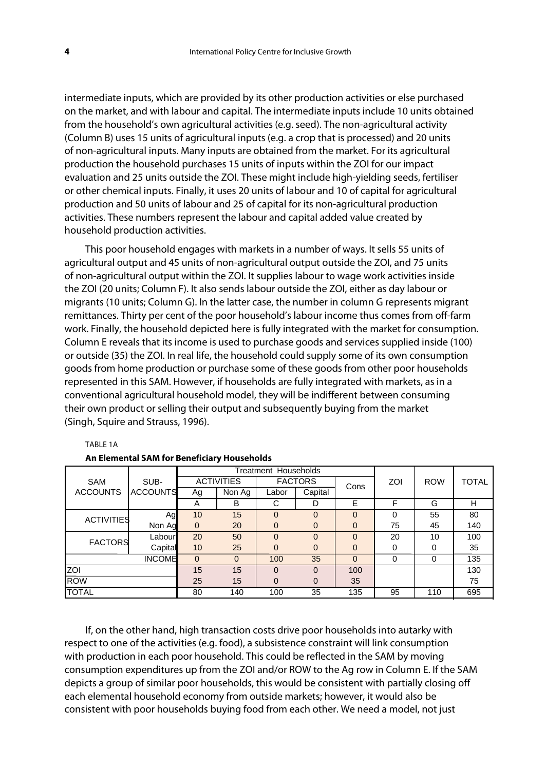intermediate inputs, which are provided by its other production activities or else purchased on the market, and with labour and capital. The intermediate inputs include 10 units obtained from the household's own agricultural activities (e.g. seed). The non-agricultural activity (Column B) uses 15 units of agricultural inputs (e.g. a crop that is processed) and 20 units of non-agricultural inputs. Many inputs are obtained from the market. For its agricultural production the household purchases 15 units of inputs within the ZOI for our impact evaluation and 25 units outside the ZOI. These might include high-yielding seeds, fertiliser or other chemical inputs. Finally, it uses 20 units of labour and 10 of capital for agricultural production and 50 units of labour and 25 of capital for its non-agricultural production activities. These numbers represent the labour and capital added value created by household production activities.

This poor household engages with markets in a number of ways. It sells 55 units of agricultural output and 45 units of non-agricultural output outside the ZOI, and 75 units of non-agricultural output within the ZOI. It supplies labour to wage work activities inside the ZOI (20 units; Column F). It also sends labour outside the ZOI, either as day labour or migrants (10 units; Column G). In the latter case, the number in column G represents migrant remittances. Thirty per cent of the poor household's labour income thus comes from off-farm work. Finally, the household depicted here is fully integrated with the market for consumption. Column E reveals that its income is used to purchase goods and services supplied inside (100) or outside (35) the ZOI. In real life, the household could supply some of its own consumption goods from home production or purchase some of these goods from other poor households represented in this SAM. However, if households are fully integrated with markets, as in a conventional agricultural household model, they will be indifferent between consuming their own product or selling their output and subsequently buying from the market (Singh, Squire and Strauss, 1996).

|                   |                 | Treatment Households |          |                |          |             |     |            |       |
|-------------------|-----------------|----------------------|----------|----------------|----------|-------------|-----|------------|-------|
| <b>SAM</b>        | SUB-            | <b>ACTIVITIES</b>    |          | <b>FACTORS</b> |          | Cons        | ZOI | <b>ROW</b> | TOTAL |
| <b>ACCOUNTS</b>   | <b>ACCOUNTS</b> | Ag                   | Non Ag   | Labor          | Capital  |             |     |            |       |
|                   |                 | A                    | B        | С              | D        | E           | F   | G          | н     |
| <b>ACTIVITIES</b> | Ag              | 10                   | 15       | $\Omega$       | $\Omega$ | $\Omega$    | 0   | 55         | 80    |
|                   | Non Ag          | $\Omega$             | 20       | $\Omega$       | $\Omega$ | $\Omega$    | 75  | 45         | 140   |
| <b>FACTORS</b>    | Labour          | 20                   | 50       | $\Omega$       | $\Omega$ | $\Omega$    | 20  | 10         | 100   |
|                   | Capital         | 10                   | 25       | $\Omega$       | $\Omega$ | $\mathbf 0$ | 0   | 0          | 35    |
| <b>INCOME</b>     |                 | $\Omega$             | $\Omega$ | 100            | 35       | $\Omega$    | 0   | 0          | 135   |
| ZOI               | 15              | 15                   | $\Omega$ | $\Omega$       | 100      |             |     | 130        |       |
| <b>ROW</b>        | 25              | 15                   | $\Omega$ | $\Omega$       | 35       |             |     | 75         |       |
| <b>TOTAL</b>      | 80              | 140                  | 100      | 35             | 135      | 95          | 110 | 695        |       |

#### TABLE 1A

| An Elemental SAM for Beneficiary Households |  |
|---------------------------------------------|--|
|---------------------------------------------|--|

If, on the other hand, high transaction costs drive poor households into autarky with respect to one of the activities (e.g. food), a subsistence constraint will link consumption with production in each poor household. This could be reflected in the SAM by moving consumption expenditures up from the ZOI and/or ROW to the Ag row in Column E. If the SAM depicts a group of similar poor households, this would be consistent with partially closing off each elemental household economy from outside markets; however, it would also be consistent with poor households buying food from each other. We need a model, not just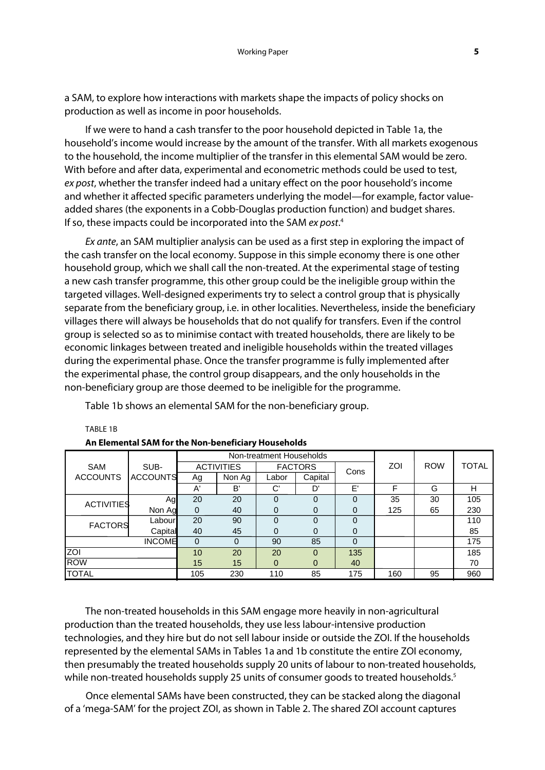a SAM, to explore how interactions with markets shape the impacts of policy shocks on production as well as income in poor households.

If we were to hand a cash transfer to the poor household depicted in Table 1a, the household's income would increase by the amount of the transfer. With all markets exogenous to the household, the income multiplier of the transfer in this elemental SAM would be zero. With before and after data, experimental and econometric methods could be used to test, ex post, whether the transfer indeed had a unitary effect on the poor household's income and whether it affected specific parameters underlying the model—for example, factor valueadded shares (the exponents in a Cobb-Douglas production function) and budget shares. If so, these impacts could be incorporated into the SAM ex post.<sup>4</sup>

Ex ante, an SAM multiplier analysis can be used as a first step in exploring the impact of the cash transfer on the local economy. Suppose in this simple economy there is one other household group, which we shall call the non-treated. At the experimental stage of testing a new cash transfer programme, this other group could be the ineligible group within the targeted villages. Well-designed experiments try to select a control group that is physically separate from the beneficiary group, i.e. in other localities. Nevertheless, inside the beneficiary villages there will always be households that do not qualify for transfers. Even if the control group is selected so as to minimise contact with treated households, there are likely to be economic linkages between treated and ineligible households within the treated villages during the experimental phase. Once the transfer programme is fully implemented after the experimental phase, the control group disappears, and the only households in the non-beneficiary group are those deemed to be ineligible for the programme.

Table 1b shows an elemental SAM for the non-beneficiary group.

|                   |                 | Non-treatment Households |          |                |          |          |     |            |              |
|-------------------|-----------------|--------------------------|----------|----------------|----------|----------|-----|------------|--------------|
| <b>SAM</b>        | SUB-            | <b>ACTIVITIES</b>        |          | <b>FACTORS</b> |          | Cons     | ZOI | <b>ROW</b> | <b>TOTAL</b> |
| <b>ACCOUNTS</b>   | <b>ACCOUNTS</b> | Ag                       | Non Ag   | Labor          | Capital  |          |     |            |              |
|                   |                 | A'                       | B'       | C'             | D'       | E'       | F   | G          | н            |
| <b>ACTIVITIES</b> | Agl             | 20                       | 20       | $\Omega$       | 0        | $\Omega$ | 35  | 30         | 105          |
|                   | Non Ag          | $\Omega$                 | 40       | 0              | 0        | 0        | 125 | 65         | 230          |
| <b>FACTORS</b>    | Labour          | 20                       | 90       | $\Omega$       | $\Omega$ | $\Omega$ |     |            | 110          |
|                   | Capital         | 40                       | 45       | $\Omega$       | 0        | 0        |     |            | 85           |
| <b>INCOME</b>     |                 | 0                        | $\Omega$ | 90             | 85       | $\Omega$ |     |            | 175          |
| ZOI               | 10              | 20                       | 20       | $\Omega$       | 135      |          |     | 185        |              |
| <b>ROW</b>        | 15              | 15                       | $\Omega$ | $\Omega$       | 40       |          |     | 70         |              |
| TOTAL             |                 | 105                      | 230      | 110            | 85       | 175      | 160 | 95         | 960          |

#### TABLE 1B

#### **An Elemental SAM for the Non-beneficiary Households**

The non-treated households in this SAM engage more heavily in non-agricultural production than the treated households, they use less labour-intensive production technologies, and they hire but do not sell labour inside or outside the ZOI. If the households represented by the elemental SAMs in Tables 1a and 1b constitute the entire ZOI economy, then presumably the treated households supply 20 units of labour to non-treated households, while non-treated households supply 25 units of consumer goods to treated households.<sup>5</sup>

Once elemental SAMs have been constructed, they can be stacked along the diagonal of a 'mega-SAM' for the project ZOI, as shown in Table 2. The shared ZOI account captures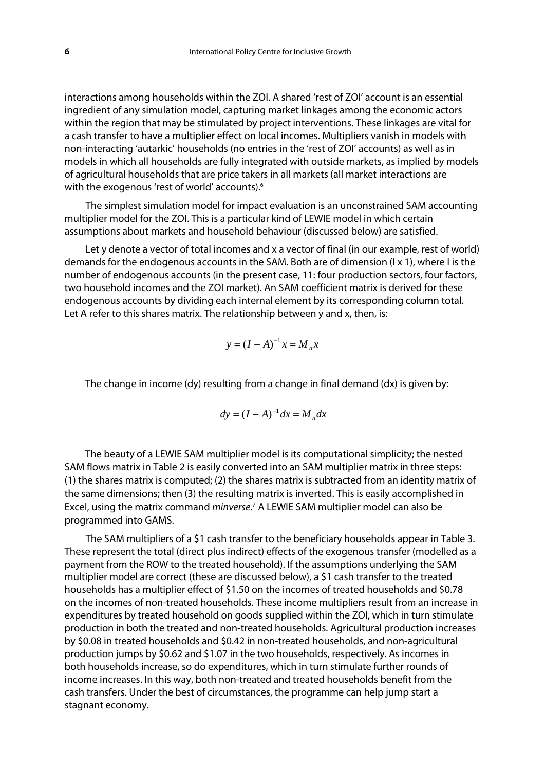interactions among households within the ZOI. A shared 'rest of ZOI' account is an essential ingredient of any simulation model, capturing market linkages among the economic actors within the region that may be stimulated by project interventions. These linkages are vital for a cash transfer to have a multiplier effect on local incomes. Multipliers vanish in models with non-interacting 'autarkic' households (no entries in the 'rest of ZOI' accounts) as well as in models in which all households are fully integrated with outside markets, as implied by models of agricultural households that are price takers in all markets (all market interactions are with the exogenous 'rest of world' accounts).<sup>6</sup>

The simplest simulation model for impact evaluation is an unconstrained SAM accounting multiplier model for the ZOI. This is a particular kind of LEWIE model in which certain assumptions about markets and household behaviour (discussed below) are satisfied.

Let y denote a vector of total incomes and x a vector of final (in our example, rest of world) demands for the endogenous accounts in the SAM. Both are of dimension (I x 1), where I is the number of endogenous accounts (in the present case, 11: four production sectors, four factors, two household incomes and the ZOI market). An SAM coefficient matrix is derived for these endogenous accounts by dividing each internal element by its corresponding column total. Let A refer to this shares matrix. The relationship between y and x, then, is:

$$
y = (I - A)^{-1}x = M_a x
$$

The change in income (dy) resulting from a change in final demand (dx) is given by:

$$
dy = (I - A)^{-1} dx = M_a dx
$$

The beauty of a LEWIE SAM multiplier model is its computational simplicity; the nested SAM flows matrix in Table 2 is easily converted into an SAM multiplier matrix in three steps: (1) the shares matrix is computed; (2) the shares matrix is subtracted from an identity matrix of the same dimensions; then (3) the resulting matrix is inverted. This is easily accomplished in Excel, using the matrix command minverse.<sup>7</sup> A LEWIE SAM multiplier model can also be programmed into GAMS.

The SAM multipliers of a \$1 cash transfer to the beneficiary households appear in Table 3. These represent the total (direct plus indirect) effects of the exogenous transfer (modelled as a payment from the ROW to the treated household). If the assumptions underlying the SAM multiplier model are correct (these are discussed below), a \$1 cash transfer to the treated households has a multiplier effect of \$1.50 on the incomes of treated households and \$0.78 on the incomes of non-treated households. These income multipliers result from an increase in expenditures by treated household on goods supplied within the ZOI, which in turn stimulate production in both the treated and non-treated households. Agricultural production increases by \$0.08 in treated households and \$0.42 in non-treated households, and non-agricultural production jumps by \$0.62 and \$1.07 in the two households, respectively. As incomes in both households increase, so do expenditures, which in turn stimulate further rounds of income increases. In this way, both non-treated and treated households benefit from the cash transfers. Under the best of circumstances, the programme can help jump start a stagnant economy.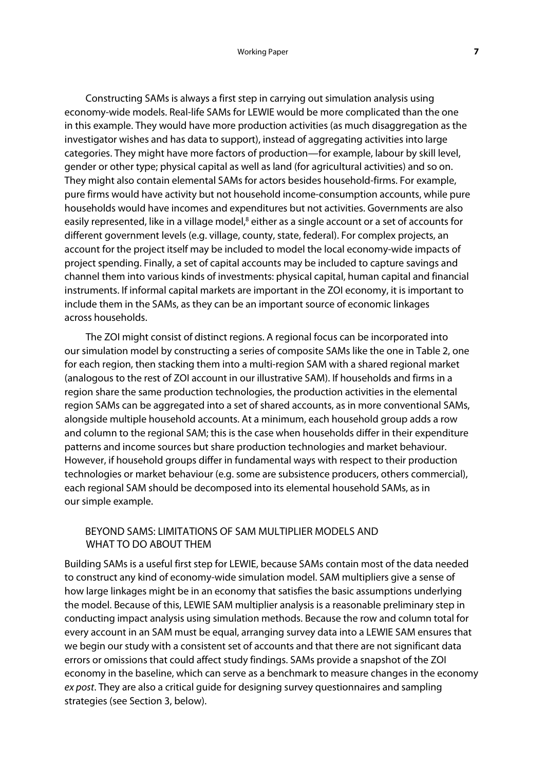Constructing SAMs is always a first step in carrying out simulation analysis using economy-wide models. Real-life SAMs for LEWIE would be more complicated than the one in this example. They would have more production activities (as much disaggregation as the investigator wishes and has data to support), instead of aggregating activities into large categories. They might have more factors of production—for example, labour by skill level, gender or other type; physical capital as well as land (for agricultural activities) and so on. They might also contain elemental SAMs for actors besides household-firms. For example, pure firms would have activity but not household income-consumption accounts, while pure households would have incomes and expenditures but not activities. Governments are also easily represented, like in a village model,<sup>8</sup> either as a single account or a set of accounts for different government levels (e.g. village, county, state, federal). For complex projects, an account for the project itself may be included to model the local economy-wide impacts of project spending. Finally, a set of capital accounts may be included to capture savings and channel them into various kinds of investments: physical capital, human capital and financial instruments. If informal capital markets are important in the ZOI economy, it is important to include them in the SAMs, as they can be an important source of economic linkages across households.

The ZOI might consist of distinct regions. A regional focus can be incorporated into our simulation model by constructing a series of composite SAMs like the one in Table 2, one for each region, then stacking them into a multi-region SAM with a shared regional market (analogous to the rest of ZOI account in our illustrative SAM). If households and firms in a region share the same production technologies, the production activities in the elemental region SAMs can be aggregated into a set of shared accounts, as in more conventional SAMs, alongside multiple household accounts. At a minimum, each household group adds a row and column to the regional SAM; this is the case when households differ in their expenditure patterns and income sources but share production technologies and market behaviour. However, if household groups differ in fundamental ways with respect to their production technologies or market behaviour (e.g. some are subsistence producers, others commercial), each regional SAM should be decomposed into its elemental household SAMs, as in our simple example.

# BEYOND SAMS: LIMITATIONS OF SAM MULTIPLIER MODELS AND WHAT TO DO ABOUT THEM

Building SAMs is a useful first step for LEWIE, because SAMs contain most of the data needed to construct any kind of economy-wide simulation model. SAM multipliers give a sense of how large linkages might be in an economy that satisfies the basic assumptions underlying the model. Because of this, LEWIE SAM multiplier analysis is a reasonable preliminary step in conducting impact analysis using simulation methods. Because the row and column total for every account in an SAM must be equal, arranging survey data into a LEWIE SAM ensures that we begin our study with a consistent set of accounts and that there are not significant data errors or omissions that could affect study findings. SAMs provide a snapshot of the ZOI economy in the baseline, which can serve as a benchmark to measure changes in the economy ex post. They are also a critical quide for designing survey questionnaires and sampling strategies (see Section 3, below).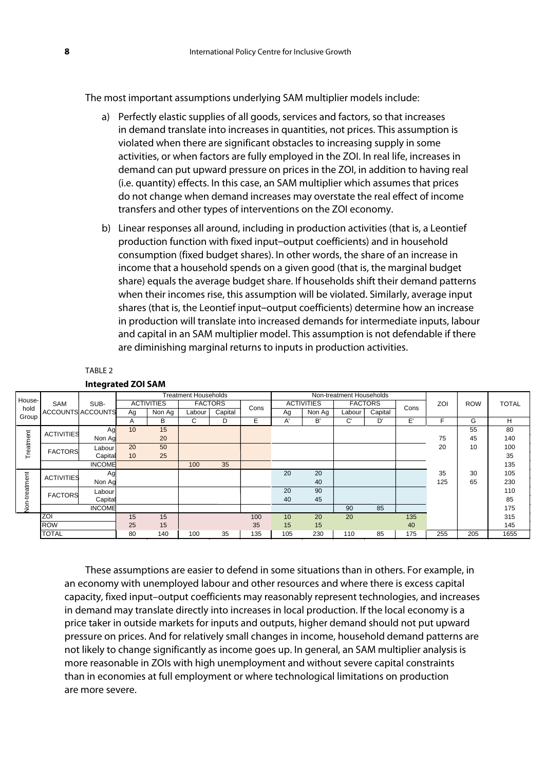The most important assumptions underlying SAM multiplier models include:

- a) Perfectly elastic supplies of all goods, services and factors, so that increases in demand translate into increases in quantities, not prices. This assumption is violated when there are significant obstacles to increasing supply in some activities, or when factors are fully employed in the ZOI. In real life, increases in demand can put upward pressure on prices in the ZOI, in addition to having real (i.e. quantity) effects. In this case, an SAM multiplier which assumes that prices do not change when demand increases may overstate the real effect of income transfers and other types of interventions on the ZOI economy.
- b) Linear responses all around, including in production activities (that is, a Leontief production function with fixed input–output coefficients) and in household consumption (fixed budget shares). In other words, the share of an increase in income that a household spends on a given good (that is, the marginal budget share) equals the average budget share. If households shift their demand patterns when their incomes rise, this assumption will be violated. Similarly, average input shares (that is, the Leontief input–output coefficients) determine how an increase in production will translate into increased demands for intermediate inputs, labour and capital in an SAM multiplier model. This assumption is not defendable if there are diminishing marginal returns to inputs in production activities.

#### TABLE 2

| House-        |                   |                          | <b>Treatment Households</b> |                   |                | Non-treatment Households |      |                   |        |                |         |      |     |            |              |
|---------------|-------------------|--------------------------|-----------------------------|-------------------|----------------|--------------------------|------|-------------------|--------|----------------|---------|------|-----|------------|--------------|
|               | SAM               | SUB-                     |                             | <b>ACTIVITIES</b> | <b>FACTORS</b> |                          | Cons | <b>ACTIVITIES</b> |        | <b>FACTORS</b> |         | Cons | ZOI | <b>ROW</b> | <b>TOTAL</b> |
| hold<br>Group |                   | <b>ACCOUNTS ACCOUNTS</b> | Ag                          | Non Ag            | Labour         | Capital                  |      | Ag                | Non Ag | Labour         | Capital |      |     |            |              |
|               |                   |                          | A                           | В                 | C              | D                        | E    | A'                | B'     | C.             | D'      | E'   | F   | G          | H            |
|               | <b>ACTIVITIES</b> | Ag                       | 10                          | 15                |                |                          |      |                   |        |                |         |      |     | 55         | 80           |
| Treatment     |                   | Non Ag                   |                             | 20                |                |                          |      |                   |        |                |         |      | 75  | 45         | 140          |
|               | <b>FACTORS</b>    | Labour                   | 20                          | 50                |                |                          |      |                   |        |                |         |      | 20  | 10         | 100          |
|               |                   | Capital                  | 10                          | 25                |                |                          |      |                   |        |                |         |      |     |            | 35           |
|               |                   | <b>INCOME</b>            |                             |                   | 100            | 35                       |      |                   |        |                |         |      |     |            | 135          |
|               | <b>ACTIVITIES</b> | Aq                       |                             |                   |                |                          |      | 20                | 20     |                |         |      | 35  | 30         | 105          |
| atment        |                   | Non Ag                   |                             |                   |                |                          |      |                   | 40     |                |         |      | 125 | 65         | 230          |
|               | <b>FACTORS</b>    | Labour                   |                             |                   |                |                          |      | 20                | 90     |                |         |      |     |            | 110          |
|               |                   | Capital                  |                             |                   |                |                          |      | 40                | 45     |                |         |      |     |            | 85           |
| S<br>⇒        |                   | <b>INCOME</b>            |                             |                   |                |                          |      |                   |        | 90             | 85      |      |     |            | 175          |
|               | <b>ZOI</b>        |                          | 15                          | 15                |                |                          | 100  | 10                | 20     | 20             |         | 135  |     |            | 315          |
|               | <b>ROW</b>        |                          | 25                          | 15                |                |                          | 35   | 15                | 15     |                |         | 40   |     |            | 145          |
|               | <b>TOTAL</b>      |                          | 80                          | 140               | 100            | 35                       | 135  | 105               | 230    | 110            | 85      | 175  | 255 | 205        | 1655         |

**Integrated ZOI SAM** 

These assumptions are easier to defend in some situations than in others. For example, in an economy with unemployed labour and other resources and where there is excess capital capacity, fixed input–output coefficients may reasonably represent technologies, and increases in demand may translate directly into increases in local production. If the local economy is a price taker in outside markets for inputs and outputs, higher demand should not put upward pressure on prices. And for relatively small changes in income, household demand patterns are not likely to change significantly as income goes up. In general, an SAM multiplier analysis is more reasonable in ZOIs with high unemployment and without severe capital constraints than in economies at full employment or where technological limitations on production are more severe.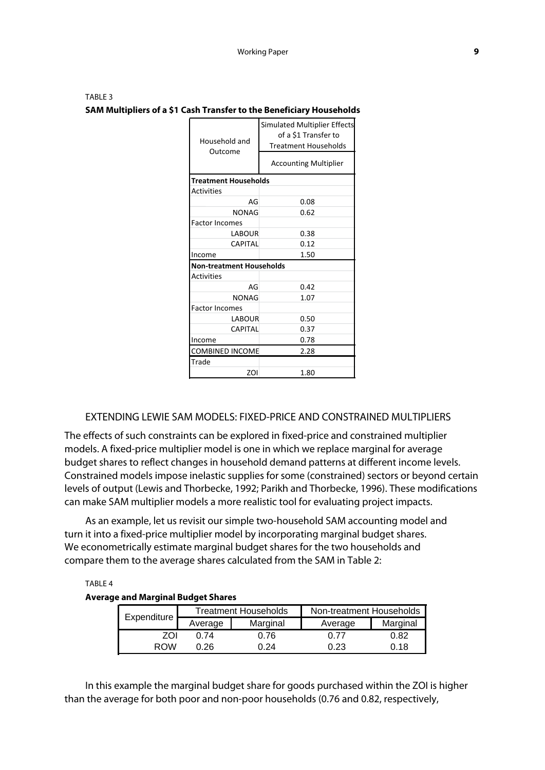| TABLE 3                                                              |
|----------------------------------------------------------------------|
| SAM Multipliers of a \$1 Cash Transfer to the Beneficiary Households |

| Household and<br>Outcome        | <b>Simulated Multiplier Effects</b><br>of a \$1 Transfer to<br><b>Treatment Households</b><br><b>Accounting Multiplier</b> |  |  |  |
|---------------------------------|----------------------------------------------------------------------------------------------------------------------------|--|--|--|
| <b>Treatment Households</b>     |                                                                                                                            |  |  |  |
| <b>Activities</b>               |                                                                                                                            |  |  |  |
| AG                              | 0.08                                                                                                                       |  |  |  |
| <b>NONAG</b>                    | 0.62                                                                                                                       |  |  |  |
| <b>Factor Incomes</b>           |                                                                                                                            |  |  |  |
| LABOUR                          | 0.38                                                                                                                       |  |  |  |
| <b>CAPITAL</b>                  | 0.12                                                                                                                       |  |  |  |
| Income                          | 1.50                                                                                                                       |  |  |  |
| <b>Non-treatment Households</b> |                                                                                                                            |  |  |  |
| <b>Activities</b>               |                                                                                                                            |  |  |  |
| AG                              | 0.42                                                                                                                       |  |  |  |
| <b>NONAG</b>                    | 1.07                                                                                                                       |  |  |  |
| <b>Factor Incomes</b>           |                                                                                                                            |  |  |  |
| <b>LABOUR</b>                   | 0.50                                                                                                                       |  |  |  |
| <b>CAPITAL</b>                  | 0.37                                                                                                                       |  |  |  |
| Income                          | 0.78                                                                                                                       |  |  |  |
| <b>COMBINED INCOME</b>          | 2.28                                                                                                                       |  |  |  |
| Trade                           |                                                                                                                            |  |  |  |
| ZOI                             | 1.80                                                                                                                       |  |  |  |

### EXTENDING LEWIE SAM MODELS: FIXED-PRICE AND CONSTRAINED MULTIPLIERS

The effects of such constraints can be explored in fixed-price and constrained multiplier models. A fixed-price multiplier model is one in which we replace marginal for average budget shares to reflect changes in household demand patterns at different income levels. Constrained models impose inelastic supplies for some (constrained) sectors or beyond certain levels of output (Lewis and Thorbecke, 1992; Parikh and Thorbecke, 1996). These modifications can make SAM multiplier models a more realistic tool for evaluating project impacts.

As an example, let us revisit our simple two-household SAM accounting model and turn it into a fixed-price multiplier model by incorporating marginal budget shares. We econometrically estimate marginal budget shares for the two households and compare them to the average shares calculated from the SAM in Table 2:

TABLE 4

### **Average and Marginal Budget Shares**

| <b>Expenditure</b> |         | <b>Treatment Households</b> | Non-treatment Households |          |  |  |
|--------------------|---------|-----------------------------|--------------------------|----------|--|--|
|                    | Average | Marginal                    | Average                  | Marginal |  |  |
| ZOL                | በ 74    | 0.76                        | າ 77                     | 0.82     |  |  |
| RNW                | ነ 26    | በ 24                        | ን.23                     | ດ 18     |  |  |

In this example the marginal budget share for goods purchased within the ZOI is higher than the average for both poor and non-poor households (0.76 and 0.82, respectively,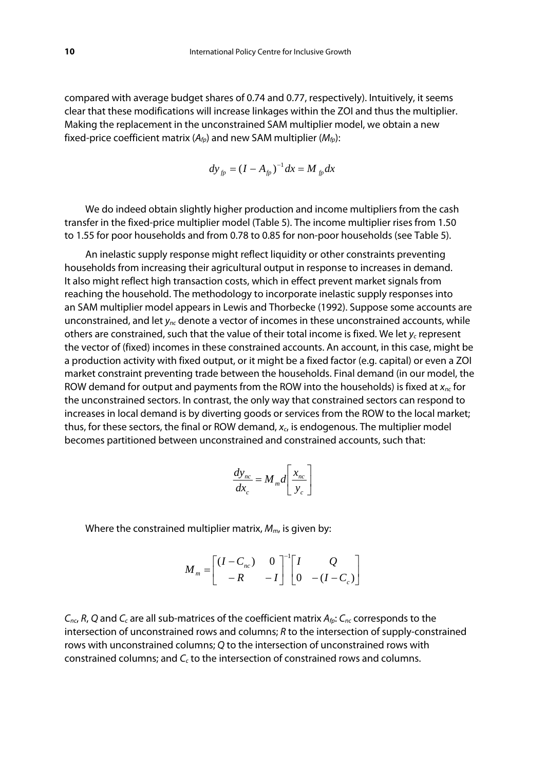compared with average budget shares of 0.74 and 0.77, respectively). Intuitively, it seems clear that these modifications will increase linkages within the ZOI and thus the multiplier. Making the replacement in the unconstrained SAM multiplier model, we obtain a new fixed-price coefficient matrix  $(A_{f_p})$  and new SAM multiplier  $(M_{f_p})$ :

$$
dy_{fp} = (I - A_{fp})^{-1} dx = M_{fp} dx
$$

We do indeed obtain slightly higher production and income multipliers from the cash transfer in the fixed-price multiplier model (Table 5). The income multiplier rises from 1.50 to 1.55 for poor households and from 0.78 to 0.85 for non-poor households (see Table 5).

An inelastic supply response might reflect liquidity or other constraints preventing households from increasing their agricultural output in response to increases in demand. It also might reflect high transaction costs, which in effect prevent market signals from reaching the household. The methodology to incorporate inelastic supply responses into an SAM multiplier model appears in Lewis and Thorbecke (1992). Suppose some accounts are unconstrained, and let  $y_{nc}$  denote a vector of incomes in these unconstrained accounts, while others are constrained, such that the value of their total income is fixed. We let  $y_c$  represent the vector of (fixed) incomes in these constrained accounts. An account, in this case, might be a production activity with fixed output, or it might be a fixed factor (e.g. capital) or even a ZOI market constraint preventing trade between the households. Final demand (in our model, the ROW demand for output and payments from the ROW into the households) is fixed at  $x_{nc}$  for the unconstrained sectors. In contrast, the only way that constrained sectors can respond to increases in local demand is by diverting goods or services from the ROW to the local market; thus, for these sectors, the final or ROW demand,  $x_c$  is endogenous. The multiplier model becomes partitioned between unconstrained and constrained accounts, such that:

$$
\frac{dy_{nc}}{dx_c} = M_m d \left[ \frac{x_{nc}}{y_c} \right]
$$

Where the constrained multiplier matrix,  $M_m$ , is given by:

$$
M_m = \begin{bmatrix} (I - C_{nc}) & 0 \\ -R & -I \end{bmatrix}^{-1} \begin{bmatrix} I & Q \\ 0 & -(I - C_c) \end{bmatrix}
$$

 $C_{nc}$ , R, Q and  $C_c$  are all sub-matrices of the coefficient matrix  $A_{fp}$ :  $C_{nc}$  corresponds to the intersection of unconstrained rows and columns; R to the intersection of supply-constrained rows with unconstrained columns; Q to the intersection of unconstrained rows with constrained columns; and  $C_c$  to the intersection of constrained rows and columns.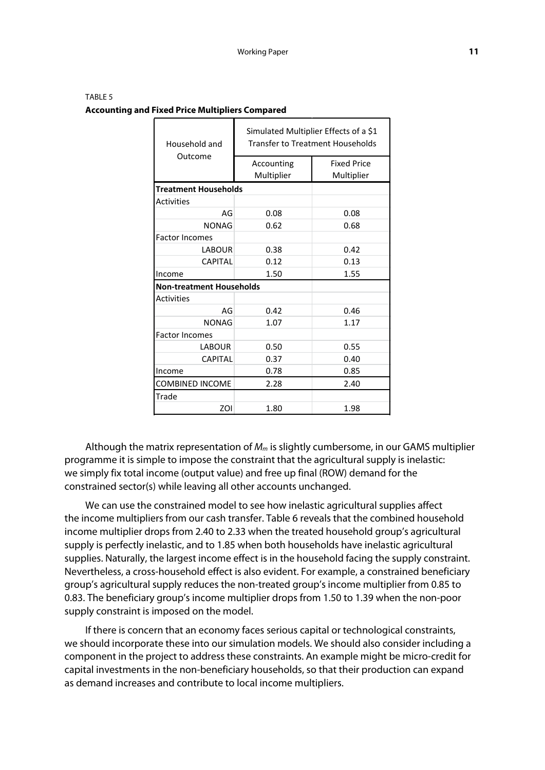| TABLE 5                                                |
|--------------------------------------------------------|
| <b>Accounting and Fixed Price Multipliers Compared</b> |

| Household and                   | Simulated Multiplier Effects of a \$1<br><b>Transfer to Treatment Households</b> |                    |  |  |  |  |
|---------------------------------|----------------------------------------------------------------------------------|--------------------|--|--|--|--|
| Outcome                         | Accounting                                                                       | <b>Fixed Price</b> |  |  |  |  |
|                                 | Multiplier                                                                       | Multiplier         |  |  |  |  |
| <b>Treatment Households</b>     |                                                                                  |                    |  |  |  |  |
| <b>Activities</b>               |                                                                                  |                    |  |  |  |  |
| AG                              | 0.08                                                                             | 0.08               |  |  |  |  |
| <b>NONAG</b>                    | 0.62                                                                             | 0.68               |  |  |  |  |
| <b>Factor Incomes</b>           |                                                                                  |                    |  |  |  |  |
| <b>LABOUR</b>                   | 0.38                                                                             | 0.42               |  |  |  |  |
| <b>CAPITAL</b>                  | 0.12                                                                             | 0.13               |  |  |  |  |
| Income                          | 1.50                                                                             | 1.55               |  |  |  |  |
| <b>Non-treatment Households</b> |                                                                                  |                    |  |  |  |  |
| <b>Activities</b>               |                                                                                  |                    |  |  |  |  |
| AG                              | 0.42                                                                             | 0.46               |  |  |  |  |
| <b>NONAG</b>                    | 1.07                                                                             | 1.17               |  |  |  |  |
| <b>Factor Incomes</b>           |                                                                                  |                    |  |  |  |  |
| <b>LABOUR</b>                   | 0.50                                                                             | 0.55               |  |  |  |  |
| <b>CAPITAL</b>                  | 0.37                                                                             | 0.40               |  |  |  |  |
| Income                          | 0.78                                                                             | 0.85               |  |  |  |  |
| <b>COMBINED INCOME</b>          | 2.28                                                                             | 2.40               |  |  |  |  |
| Trade                           |                                                                                  |                    |  |  |  |  |
| ZOI                             | 1.80                                                                             | 1.98               |  |  |  |  |

Although the matrix representation of  $M_m$  is slightly cumbersome, in our GAMS multiplier programme it is simple to impose the constraint that the agricultural supply is inelastic: we simply fix total income (output value) and free up final (ROW) demand for the constrained sector(s) while leaving all other accounts unchanged.

We can use the constrained model to see how inelastic agricultural supplies affect the income multipliers from our cash transfer. Table 6 reveals that the combined household income multiplier drops from 2.40 to 2.33 when the treated household group's agricultural supply is perfectly inelastic, and to 1.85 when both households have inelastic agricultural supplies. Naturally, the largest income effect is in the household facing the supply constraint. Nevertheless, a cross-household effect is also evident. For example, a constrained beneficiary group's agricultural supply reduces the non-treated group's income multiplier from 0.85 to 0.83. The beneficiary group's income multiplier drops from 1.50 to 1.39 when the non-poor supply constraint is imposed on the model.

If there is concern that an economy faces serious capital or technological constraints, we should incorporate these into our simulation models. We should also consider including a component in the project to address these constraints. An example might be micro-credit for capital investments in the non-beneficiary households, so that their production can expand as demand increases and contribute to local income multipliers.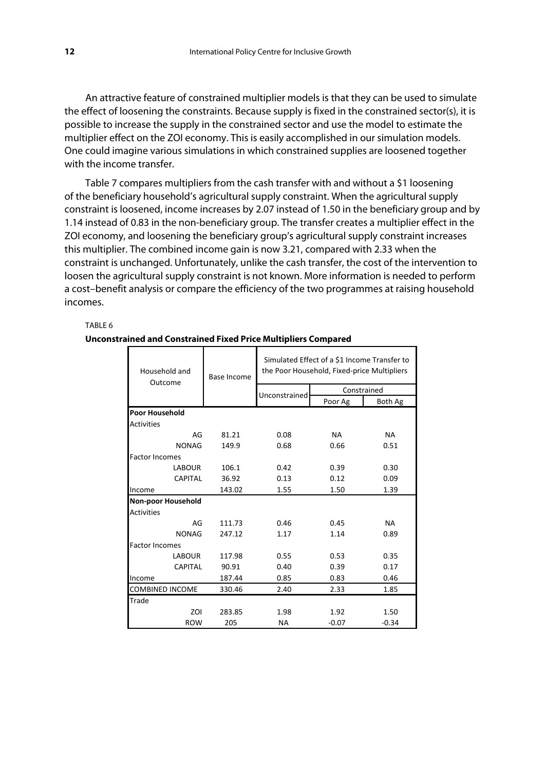An attractive feature of constrained multiplier models is that they can be used to simulate the effect of loosening the constraints. Because supply is fixed in the constrained sector(s), it is possible to increase the supply in the constrained sector and use the model to estimate the multiplier effect on the ZOI economy. This is easily accomplished in our simulation models. One could imagine various simulations in which constrained supplies are loosened together with the income transfer.

Table 7 compares multipliers from the cash transfer with and without a \$1 loosening of the beneficiary household's agricultural supply constraint. When the agricultural supply constraint is loosened, income increases by 2.07 instead of 1.50 in the beneficiary group and by 1.14 instead of 0.83 in the non-beneficiary group. The transfer creates a multiplier effect in the ZOI economy, and loosening the beneficiary group's agricultural supply constraint increases this multiplier. The combined income gain is now 3.21, compared with 2.33 when the constraint is unchanged. Unfortunately, unlike the cash transfer, the cost of the intervention to loosen the agricultural supply constraint is not known. More information is needed to perform a cost–benefit analysis or compare the efficiency of the two programmes at raising household incomes.

#### TABLE 6

#### **Unconstrained and Constrained Fixed Price Multipliers Compared**

| Household and<br>Outcome  | Base Income | Simulated Effect of a \$1 Income Transfer to<br>the Poor Household, Fixed-price Multipliers |             |           |  |  |  |
|---------------------------|-------------|---------------------------------------------------------------------------------------------|-------------|-----------|--|--|--|
|                           |             | Unconstrained                                                                               | Constrained |           |  |  |  |
|                           |             |                                                                                             | Poor Ag     | Both Ag   |  |  |  |
| <b>Poor Household</b>     |             |                                                                                             |             |           |  |  |  |
| <b>Activities</b>         |             |                                                                                             |             |           |  |  |  |
| AG                        | 81.21       | 0.08                                                                                        | <b>NA</b>   | <b>NA</b> |  |  |  |
| <b>NONAG</b>              | 149.9       | 0.68                                                                                        | 0.66        | 0.51      |  |  |  |
| <b>Factor Incomes</b>     |             |                                                                                             |             |           |  |  |  |
| <b>LABOUR</b>             | 106.1       | 0.42                                                                                        | 0.39        | 0.30      |  |  |  |
| <b>CAPITAL</b>            | 36.92       | 0.13                                                                                        | 0.12        | 0.09      |  |  |  |
| Income                    | 143.02      | 1.55                                                                                        | 1.50        | 1.39      |  |  |  |
| <b>Non-poor Household</b> |             |                                                                                             |             |           |  |  |  |
| <b>Activities</b>         |             |                                                                                             |             |           |  |  |  |
| AG                        | 111.73      | 0.46                                                                                        | 0.45        | <b>NA</b> |  |  |  |
| <b>NONAG</b>              | 247.12      | 1.17                                                                                        | 1.14        | 0.89      |  |  |  |
| <b>Factor Incomes</b>     |             |                                                                                             |             |           |  |  |  |
| <b>LABOUR</b>             | 117.98      | 0.55                                                                                        | 0.53        | 0.35      |  |  |  |
| <b>CAPITAL</b>            | 90.91       | 0.40                                                                                        | 0.39        | 0.17      |  |  |  |
| Income                    | 187.44      | 0.85                                                                                        | 0.83        | 0.46      |  |  |  |
| <b>COMBINED INCOME</b>    | 330.46      | 2.40                                                                                        | 2.33        | 1.85      |  |  |  |
| Trade                     |             |                                                                                             |             |           |  |  |  |
| ZOI                       | 283.85      | 1.98                                                                                        | 1.92        | 1.50      |  |  |  |
| <b>ROW</b>                | 205         | <b>NA</b>                                                                                   | $-0.07$     | $-0.34$   |  |  |  |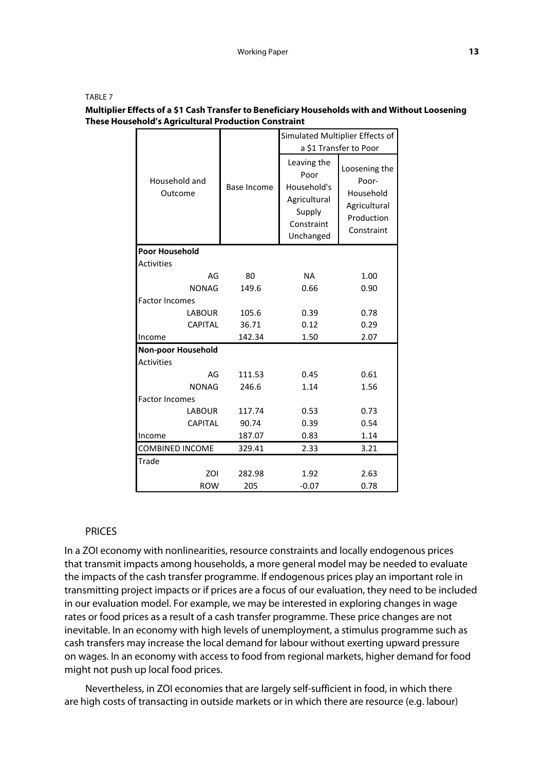TABLE 7

### **Multiplier Effects of a \$1 Cash Transfer to Beneficiary Households with and Without Loosening These Household's Agricultural Production Constraint**

|                           |             | Simulated Multiplier Effects of                                                         |                                                                                 |  |  |
|---------------------------|-------------|-----------------------------------------------------------------------------------------|---------------------------------------------------------------------------------|--|--|
|                           |             |                                                                                         | a \$1 Transfer to Poor                                                          |  |  |
| Household and<br>Outcome  | Base Income | Leaving the<br>Poor<br>Household's<br>Agricultural<br>Supply<br>Constraint<br>Unchanged | Loosening the<br>Poor-<br>Household<br>Agricultural<br>Production<br>Constraint |  |  |
| <b>Poor Household</b>     |             |                                                                                         |                                                                                 |  |  |
| <b>Activities</b>         |             |                                                                                         |                                                                                 |  |  |
| AG                        | 80          | <b>NA</b>                                                                               | 1.00                                                                            |  |  |
| <b>NONAG</b>              | 149.6       | 0.66                                                                                    | 0.90                                                                            |  |  |
| <b>Factor Incomes</b>     |             |                                                                                         |                                                                                 |  |  |
| <b>LABOUR</b>             | 105.6       | 0.39                                                                                    | 0.78                                                                            |  |  |
| <b>CAPITAL</b>            | 36.71       | 0.12                                                                                    | 0.29                                                                            |  |  |
| Income                    | 142.34      | 1.50                                                                                    | 2.07                                                                            |  |  |
| <b>Non-poor Household</b> |             |                                                                                         |                                                                                 |  |  |
| <b>Activities</b>         |             |                                                                                         |                                                                                 |  |  |
| AG                        | 111.53      | 0.45                                                                                    | 0.61                                                                            |  |  |
| <b>NONAG</b>              | 246.6       | 1.14                                                                                    | 1.56                                                                            |  |  |
| <b>Factor Incomes</b>     |             |                                                                                         |                                                                                 |  |  |
| <b>LABOUR</b>             | 117.74      | 0.53                                                                                    | 0.73                                                                            |  |  |
| <b>CAPITAL</b>            | 90.74       | 0.39                                                                                    | 0.54                                                                            |  |  |
| Income                    | 187.07      | 0.83                                                                                    | 1.14                                                                            |  |  |
| <b>COMBINED INCOME</b>    | 329.41      | 2.33                                                                                    | 3.21                                                                            |  |  |
| <b>Trade</b>              |             |                                                                                         |                                                                                 |  |  |
| ZOI                       | 282.98      | 1.92                                                                                    | 2.63                                                                            |  |  |
| <b>ROW</b>                | 205         | $-0.07$                                                                                 | 0.78                                                                            |  |  |

### **PRICES**

In a ZOI economy with nonlinearities, resource constraints and locally endogenous prices that transmit impacts among households, a more general model may be needed to evaluate the impacts of the cash transfer programme. If endogenous prices play an important role in transmitting project impacts or if prices are a focus of our evaluation, they need to be included in our evaluation model. For example, we may be interested in exploring changes in wage rates or food prices as a result of a cash transfer programme. These price changes are not inevitable. In an economy with high levels of unemployment, a stimulus programme such as cash transfers may increase the local demand for labour without exerting upward pressure on wages. In an economy with access to food from regional markets, higher demand for food might not push up local food prices.

Nevertheless, in ZOI economies that are largely self-sufficient in food, in which there are high costs of transacting in outside markets or in which there are resource (e.g. labour)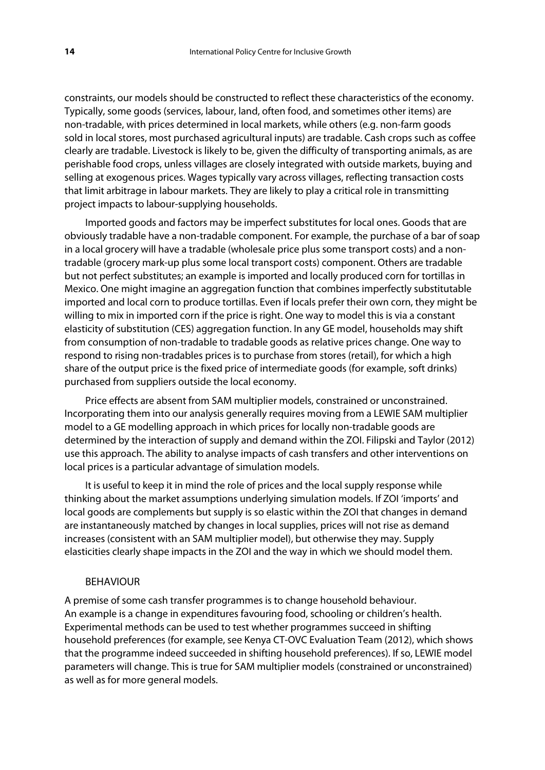constraints, our models should be constructed to reflect these characteristics of the economy. Typically, some goods (services, labour, land, often food, and sometimes other items) are non-tradable, with prices determined in local markets, while others (e.g. non-farm goods sold in local stores, most purchased agricultural inputs) are tradable. Cash crops such as coffee clearly are tradable. Livestock is likely to be, given the difficulty of transporting animals, as are perishable food crops, unless villages are closely integrated with outside markets, buying and selling at exogenous prices. Wages typically vary across villages, reflecting transaction costs that limit arbitrage in labour markets. They are likely to play a critical role in transmitting project impacts to labour-supplying households.

Imported goods and factors may be imperfect substitutes for local ones. Goods that are obviously tradable have a non-tradable component. For example, the purchase of a bar of soap in a local grocery will have a tradable (wholesale price plus some transport costs) and a nontradable (grocery mark-up plus some local transport costs) component. Others are tradable but not perfect substitutes; an example is imported and locally produced corn for tortillas in Mexico. One might imagine an aggregation function that combines imperfectly substitutable imported and local corn to produce tortillas. Even if locals prefer their own corn, they might be willing to mix in imported corn if the price is right. One way to model this is via a constant elasticity of substitution (CES) aggregation function. In any GE model, households may shift from consumption of non-tradable to tradable goods as relative prices change. One way to respond to rising non-tradables prices is to purchase from stores (retail), for which a high share of the output price is the fixed price of intermediate goods (for example, soft drinks) purchased from suppliers outside the local economy.

Price effects are absent from SAM multiplier models, constrained or unconstrained. Incorporating them into our analysis generally requires moving from a LEWIE SAM multiplier model to a GE modelling approach in which prices for locally non-tradable goods are determined by the interaction of supply and demand within the ZOI. Filipski and Taylor (2012) use this approach. The ability to analyse impacts of cash transfers and other interventions on local prices is a particular advantage of simulation models.

It is useful to keep it in mind the role of prices and the local supply response while thinking about the market assumptions underlying simulation models. If ZOI 'imports' and local goods are complements but supply is so elastic within the ZOI that changes in demand are instantaneously matched by changes in local supplies, prices will not rise as demand increases (consistent with an SAM multiplier model), but otherwise they may. Supply elasticities clearly shape impacts in the ZOI and the way in which we should model them.

### BEHAVIOUR

A premise of some cash transfer programmes is to change household behaviour. An example is a change in expenditures favouring food, schooling or children's health. Experimental methods can be used to test whether programmes succeed in shifting household preferences (for example, see Kenya CT-OVC Evaluation Team (2012), which shows that the programme indeed succeeded in shifting household preferences). If so, LEWIE model parameters will change. This is true for SAM multiplier models (constrained or unconstrained) as well as for more general models.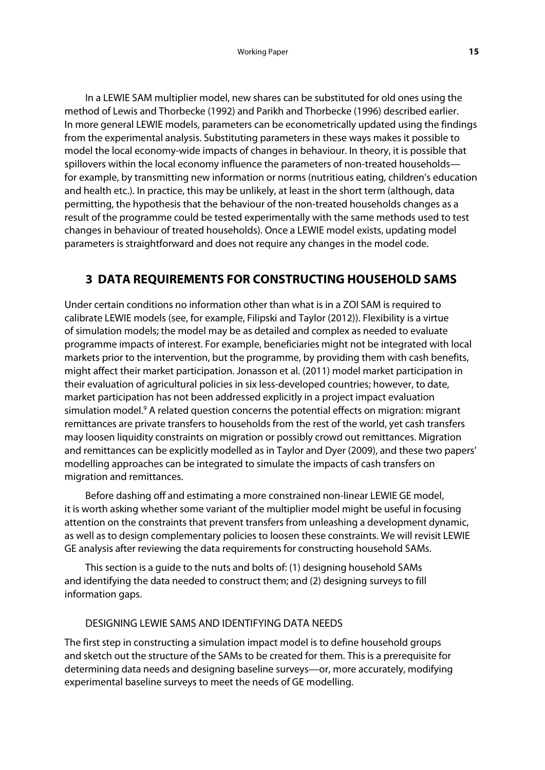In a LEWIE SAM multiplier model, new shares can be substituted for old ones using the method of Lewis and Thorbecke (1992) and Parikh and Thorbecke (1996) described earlier. In more general LEWIE models, parameters can be econometrically updated using the findings from the experimental analysis. Substituting parameters in these ways makes it possible to model the local economy-wide impacts of changes in behaviour. In theory, it is possible that spillovers within the local economy influence the parameters of non-treated households for example, by transmitting new information or norms (nutritious eating, children's education and health etc.). In practice, this may be unlikely, at least in the short term (although, data permitting, the hypothesis that the behaviour of the non-treated households changes as a result of the programme could be tested experimentally with the same methods used to test changes in behaviour of treated households). Once a LEWIE model exists, updating model parameters is straightforward and does not require any changes in the model code.

# **3 DATA REQUIREMENTS FOR CONSTRUCTING HOUSEHOLD SAMS**

Under certain conditions no information other than what is in a ZOI SAM is required to calibrate LEWIE models (see, for example, Filipski and Taylor (2012)). Flexibility is a virtue of simulation models; the model may be as detailed and complex as needed to evaluate programme impacts of interest. For example, beneficiaries might not be integrated with local markets prior to the intervention, but the programme, by providing them with cash benefits, might affect their market participation. Jonasson et al. (2011) model market participation in their evaluation of agricultural policies in six less-developed countries; however, to date, market participation has not been addressed explicitly in a project impact evaluation simulation model.<sup>9</sup> A related question concerns the potential effects on migration: migrant remittances are private transfers to households from the rest of the world, yet cash transfers may loosen liquidity constraints on migration or possibly crowd out remittances. Migration and remittances can be explicitly modelled as in Taylor and Dyer (2009), and these two papers' modelling approaches can be integrated to simulate the impacts of cash transfers on migration and remittances.

Before dashing off and estimating a more constrained non-linear LEWIE GE model, it is worth asking whether some variant of the multiplier model might be useful in focusing attention on the constraints that prevent transfers from unleashing a development dynamic, as well as to design complementary policies to loosen these constraints. We will revisit LEWIE GE analysis after reviewing the data requirements for constructing household SAMs.

This section is a guide to the nuts and bolts of: (1) designing household SAMs and identifying the data needed to construct them; and (2) designing surveys to fill information gaps.

## DESIGNING LEWIE SAMS AND IDENTIFYING DATA NEEDS

The first step in constructing a simulation impact model is to define household groups and sketch out the structure of the SAMs to be created for them. This is a prerequisite for determining data needs and designing baseline surveys—or, more accurately, modifying experimental baseline surveys to meet the needs of GE modelling.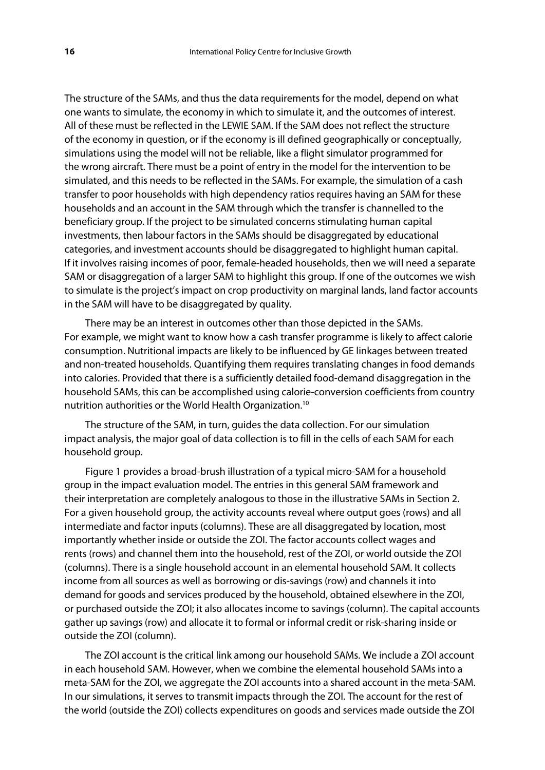The structure of the SAMs, and thus the data requirements for the model, depend on what one wants to simulate, the economy in which to simulate it, and the outcomes of interest. All of these must be reflected in the LEWIE SAM. If the SAM does not reflect the structure of the economy in question, or if the economy is ill defined geographically or conceptually, simulations using the model will not be reliable, like a flight simulator programmed for the wrong aircraft. There must be a point of entry in the model for the intervention to be simulated, and this needs to be reflected in the SAMs. For example, the simulation of a cash transfer to poor households with high dependency ratios requires having an SAM for these households and an account in the SAM through which the transfer is channelled to the beneficiary group. If the project to be simulated concerns stimulating human capital investments, then labour factors in the SAMs should be disaggregated by educational categories, and investment accounts should be disaggregated to highlight human capital. If it involves raising incomes of poor, female-headed households, then we will need a separate SAM or disaggregation of a larger SAM to highlight this group. If one of the outcomes we wish to simulate is the project's impact on crop productivity on marginal lands, land factor accounts in the SAM will have to be disaggregated by quality.

There may be an interest in outcomes other than those depicted in the SAMs. For example, we might want to know how a cash transfer programme is likely to affect calorie consumption. Nutritional impacts are likely to be influenced by GE linkages between treated and non-treated households. Quantifying them requires translating changes in food demands into calories. Provided that there is a sufficiently detailed food-demand disaggregation in the household SAMs, this can be accomplished using calorie-conversion coefficients from country nutrition authorities or the World Health Organization.10

The structure of the SAM, in turn, guides the data collection. For our simulation impact analysis, the major goal of data collection is to fill in the cells of each SAM for each household group.

Figure 1 provides a broad-brush illustration of a typical micro-SAM for a household group in the impact evaluation model. The entries in this general SAM framework and their interpretation are completely analogous to those in the illustrative SAMs in Section 2. For a given household group, the activity accounts reveal where output goes (rows) and all intermediate and factor inputs (columns). These are all disaggregated by location, most importantly whether inside or outside the ZOI. The factor accounts collect wages and rents (rows) and channel them into the household, rest of the ZOI, or world outside the ZOI (columns). There is a single household account in an elemental household SAM. It collects income from all sources as well as borrowing or dis-savings (row) and channels it into demand for goods and services produced by the household, obtained elsewhere in the ZOI, or purchased outside the ZOI; it also allocates income to savings (column). The capital accounts gather up savings (row) and allocate it to formal or informal credit or risk-sharing inside or outside the ZOI (column).

The ZOI account is the critical link among our household SAMs. We include a ZOI account in each household SAM. However, when we combine the elemental household SAMs into a meta-SAM for the ZOI, we aggregate the ZOI accounts into a shared account in the meta-SAM. In our simulations, it serves to transmit impacts through the ZOI. The account for the rest of the world (outside the ZOI) collects expenditures on goods and services made outside the ZOI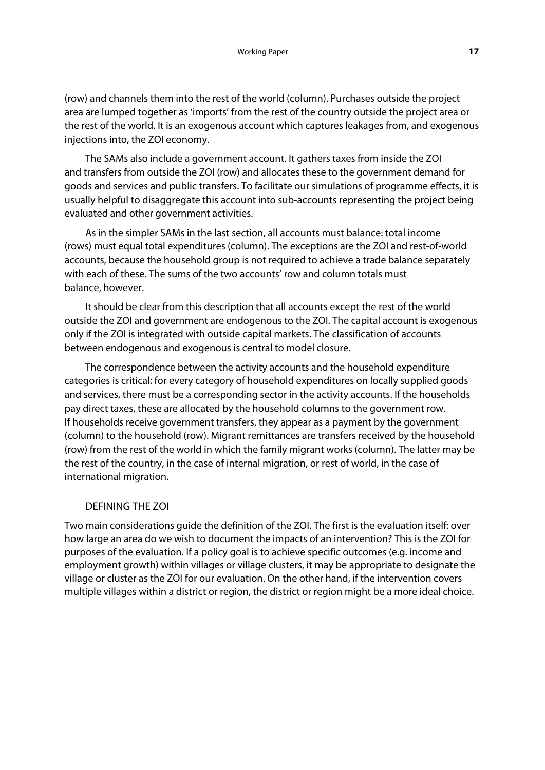(row) and channels them into the rest of the world (column). Purchases outside the project area are lumped together as 'imports' from the rest of the country outside the project area or the rest of the world. It is an exogenous account which captures leakages from, and exogenous injections into, the ZOI economy.

The SAMs also include a government account. It gathers taxes from inside the ZOI and transfers from outside the ZOI (row) and allocates these to the government demand for goods and services and public transfers. To facilitate our simulations of programme effects, it is usually helpful to disaggregate this account into sub-accounts representing the project being evaluated and other government activities.

As in the simpler SAMs in the last section, all accounts must balance: total income (rows) must equal total expenditures (column). The exceptions are the ZOI and rest-of-world accounts, because the household group is not required to achieve a trade balance separately with each of these. The sums of the two accounts' row and column totals must balance, however.

It should be clear from this description that all accounts except the rest of the world outside the ZOI and government are endogenous to the ZOI. The capital account is exogenous only if the ZOI is integrated with outside capital markets. The classification of accounts between endogenous and exogenous is central to model closure.

The correspondence between the activity accounts and the household expenditure categories is critical: for every category of household expenditures on locally supplied goods and services, there must be a corresponding sector in the activity accounts. If the households pay direct taxes, these are allocated by the household columns to the government row. If households receive government transfers, they appear as a payment by the government (column) to the household (row). Migrant remittances are transfers received by the household (row) from the rest of the world in which the family migrant works (column). The latter may be the rest of the country, in the case of internal migration, or rest of world, in the case of international migration.

## DEFINING THE ZOI

Two main considerations guide the definition of the ZOI. The first is the evaluation itself: over how large an area do we wish to document the impacts of an intervention? This is the ZOI for purposes of the evaluation. If a policy goal is to achieve specific outcomes (e.g. income and employment growth) within villages or village clusters, it may be appropriate to designate the village or cluster as the ZOI for our evaluation. On the other hand, if the intervention covers multiple villages within a district or region, the district or region might be a more ideal choice.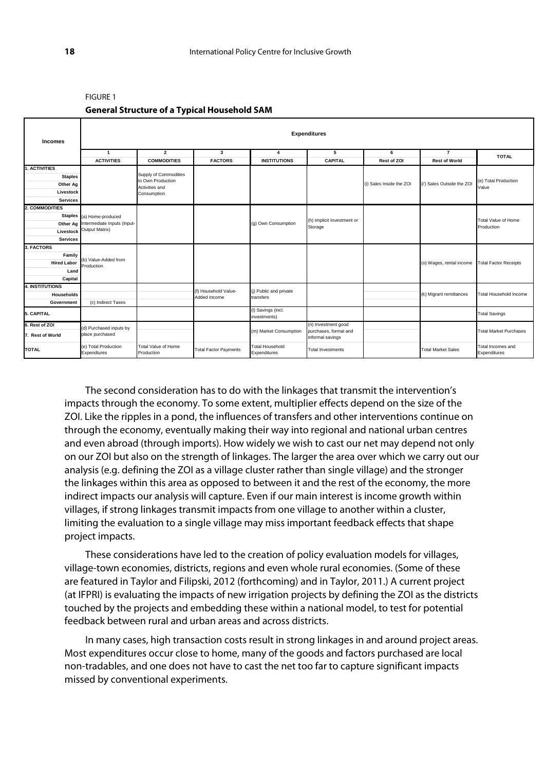| <b>Incomes</b>             | <b>Expenditures</b>                  |                                          |                                      |                                        |                                           |                          |                            |                                   |  |  |
|----------------------------|--------------------------------------|------------------------------------------|--------------------------------------|----------------------------------------|-------------------------------------------|--------------------------|----------------------------|-----------------------------------|--|--|
|                            | $\mathbf{1}$                         | $\overline{2}$                           | 3                                    | $\overline{\mathbf{4}}$                | 5                                         | 6                        | $\overline{7}$             | <b>TOTAL</b>                      |  |  |
|                            | <b>ACTIVITIES</b>                    | <b>COMMODITIES</b>                       | <b>FACTORS</b>                       | <b>INSTITUTIONS</b>                    | <b>CAPITAL</b>                            | <b>Rest of ZOI</b>       | <b>Rest of World</b>       |                                   |  |  |
| 1. ACTIVITIES              |                                      | Supply of Commodities                    |                                      |                                        |                                           |                          |                            |                                   |  |  |
| <b>Staples</b><br>Other Ag |                                      | to Own Production                        |                                      |                                        |                                           | (i) Sales Inside the ZOI | (i') Sales Outside the ZOI | (e) Total Production              |  |  |
| Livestock                  |                                      | Activities and                           |                                      |                                        |                                           |                          |                            | Value                             |  |  |
| <b>Services</b>            |                                      | Consumption                              |                                      |                                        |                                           |                          |                            |                                   |  |  |
| 2. COMMODITIES             |                                      |                                          |                                      |                                        |                                           |                          |                            |                                   |  |  |
|                            | Staples (a) Home-produced            |                                          |                                      |                                        |                                           |                          |                            |                                   |  |  |
|                            | Other Ag Intermediate Inputs (Input- |                                          |                                      | (g) Own Consumption                    | (h) Implicit Investment or                |                          |                            | <b>Total Value of Home</b>        |  |  |
| Livestock                  | Output Matrix)                       |                                          |                                      |                                        | Storage                                   |                          |                            | Production                        |  |  |
| <b>Services</b>            |                                      |                                          |                                      |                                        |                                           |                          |                            |                                   |  |  |
| 3. FACTORS                 |                                      |                                          |                                      |                                        |                                           |                          |                            |                                   |  |  |
| Family                     |                                      |                                          |                                      |                                        |                                           |                          |                            |                                   |  |  |
| <b>Hired Labor</b>         | (b) Value-Added from<br>Production   |                                          |                                      |                                        |                                           |                          | (o) Wages, rental income   | <b>Total Factor Receipts</b>      |  |  |
| Land                       |                                      |                                          |                                      |                                        |                                           |                          |                            |                                   |  |  |
| Capital                    |                                      |                                          |                                      |                                        |                                           |                          |                            |                                   |  |  |
| <b>4. INSTITUTIONS</b>     |                                      |                                          |                                      |                                        |                                           |                          |                            |                                   |  |  |
| <b>Households</b>          |                                      |                                          | (f) Household Value-<br>Added Income | (i) Public and private<br>transfers    |                                           |                          | (k) Migrant remittances    | <b>Total Household Income</b>     |  |  |
| Government                 | (c) Indirect Taxes                   |                                          |                                      |                                        |                                           |                          |                            |                                   |  |  |
| 5. CAPITAL                 |                                      |                                          |                                      | (I) Savings (incl.<br>investments)     |                                           |                          |                            | <b>Total Savings</b>              |  |  |
| 6. Rest of ZOI             | (d) Purchased inputs by              |                                          |                                      |                                        | (n) Investment good                       |                          |                            |                                   |  |  |
| 7. Rest of World           | place purchased                      |                                          |                                      | (m) Market Consumption                 | purchases, formal and<br>informal savings |                          |                            | <b>Total Market Purchases</b>     |  |  |
| <b>TOTAL</b>               | (e) Total Production<br>Expendtures  | <b>Total Value of Home</b><br>Production | <b>Total Factor Payments</b>         | <b>Total Household</b><br>Expenditures | <b>Total Investments</b>                  |                          | <b>Total Market Sales</b>  | Total Incomes and<br>Expenditures |  |  |

#### FIGURE 1

#### **General Structure of a Typical Household SAM**

The second consideration has to do with the linkages that transmit the intervention's impacts through the economy. To some extent, multiplier effects depend on the size of the ZOI. Like the ripples in a pond, the influences of transfers and other interventions continue on through the economy, eventually making their way into regional and national urban centres and even abroad (through imports). How widely we wish to cast our net may depend not only on our ZOI but also on the strength of linkages. The larger the area over which we carry out our analysis (e.g. defining the ZOI as a village cluster rather than single village) and the stronger the linkages within this area as opposed to between it and the rest of the economy, the more indirect impacts our analysis will capture. Even if our main interest is income growth within villages, if strong linkages transmit impacts from one village to another within a cluster, limiting the evaluation to a single village may miss important feedback effects that shape project impacts.

These considerations have led to the creation of policy evaluation models for villages, village-town economies, districts, regions and even whole rural economies. (Some of these are featured in Taylor and Filipski, 2012 (forthcoming) and in Taylor, 2011.) A current project (at IFPRI) is evaluating the impacts of new irrigation projects by defining the ZOI as the districts touched by the projects and embedding these within a national model, to test for potential feedback between rural and urban areas and across districts.

In many cases, high transaction costs result in strong linkages in and around project areas. Most expenditures occur close to home, many of the goods and factors purchased are local non-tradables, and one does not have to cast the net too far to capture significant impacts missed by conventional experiments.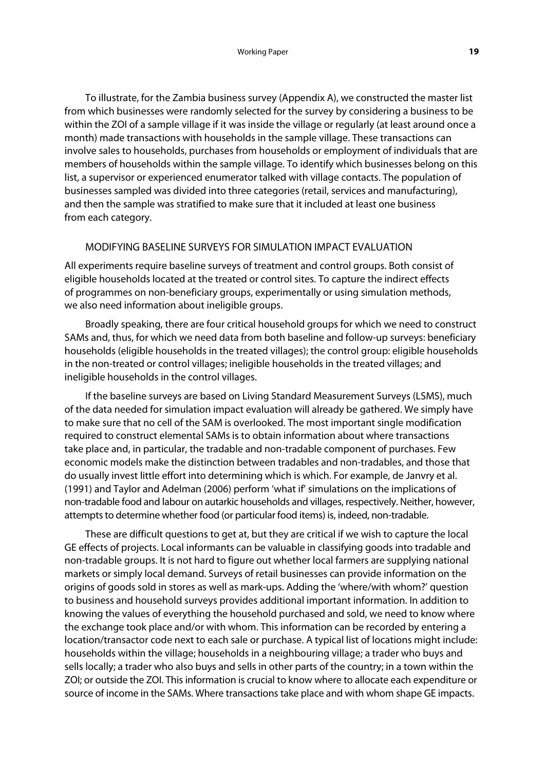To illustrate, for the Zambia business survey (Appendix A), we constructed the master list from which businesses were randomly selected for the survey by considering a business to be within the ZOI of a sample village if it was inside the village or regularly (at least around once a month) made transactions with households in the sample village. These transactions can involve sales to households, purchases from households or employment of individuals that are members of households within the sample village. To identify which businesses belong on this list, a supervisor or experienced enumerator talked with village contacts. The population of businesses sampled was divided into three categories (retail, services and manufacturing), and then the sample was stratified to make sure that it included at least one business from each category.

### MODIFYING BASELINE SURVEYS FOR SIMULATION IMPACT EVALUATION

All experiments require baseline surveys of treatment and control groups. Both consist of eligible households located at the treated or control sites. To capture the indirect effects of programmes on non-beneficiary groups, experimentally or using simulation methods, we also need information about ineligible groups.

Broadly speaking, there are four critical household groups for which we need to construct SAMs and, thus, for which we need data from both baseline and follow-up surveys: beneficiary households (eligible households in the treated villages); the control group: eligible households in the non-treated or control villages; ineligible households in the treated villages; and ineligible households in the control villages.

If the baseline surveys are based on Living Standard Measurement Surveys (LSMS), much of the data needed for simulation impact evaluation will already be gathered. We simply have to make sure that no cell of the SAM is overlooked. The most important single modification required to construct elemental SAMs is to obtain information about where transactions take place and, in particular, the tradable and non-tradable component of purchases. Few economic models make the distinction between tradables and non-tradables, and those that do usually invest little effort into determining which is which. For example, de Janvry et al. (1991) and Taylor and Adelman (2006) perform 'what if' simulations on the implications of non-tradable food and labour on autarkic households and villages, respectively. Neither, however, attempts to determine whether food (or particular food items) is, indeed, non-tradable.

These are difficult questions to get at, but they are critical if we wish to capture the local GE effects of projects. Local informants can be valuable in classifying goods into tradable and non-tradable groups. It is not hard to figure out whether local farmers are supplying national markets or simply local demand. Surveys of retail businesses can provide information on the origins of goods sold in stores as well as mark-ups. Adding the 'where/with whom?' question to business and household surveys provides additional important information. In addition to knowing the values of everything the household purchased and sold, we need to know where the exchange took place and/or with whom. This information can be recorded by entering a location/transactor code next to each sale or purchase. A typical list of locations might include: households within the village; households in a neighbouring village; a trader who buys and sells locally; a trader who also buys and sells in other parts of the country; in a town within the ZOI; or outside the ZOI. This information is crucial to know where to allocate each expenditure or source of income in the SAMs. Where transactions take place and with whom shape GE impacts.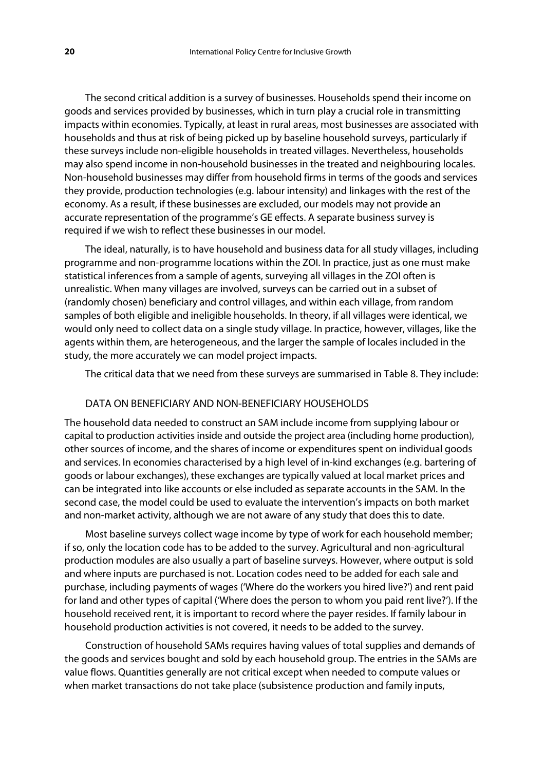The second critical addition is a survey of businesses. Households spend their income on goods and services provided by businesses, which in turn play a crucial role in transmitting impacts within economies. Typically, at least in rural areas, most businesses are associated with households and thus at risk of being picked up by baseline household surveys, particularly if these surveys include non-eligible households in treated villages. Nevertheless, households may also spend income in non-household businesses in the treated and neighbouring locales. Non-household businesses may differ from household firms in terms of the goods and services they provide, production technologies (e.g. labour intensity) and linkages with the rest of the economy. As a result, if these businesses are excluded, our models may not provide an accurate representation of the programme's GE effects. A separate business survey is required if we wish to reflect these businesses in our model.

The ideal, naturally, is to have household and business data for all study villages, including programme and non-programme locations within the ZOI. In practice, just as one must make statistical inferences from a sample of agents, surveying all villages in the ZOI often is unrealistic. When many villages are involved, surveys can be carried out in a subset of (randomly chosen) beneficiary and control villages, and within each village, from random samples of both eligible and ineligible households. In theory, if all villages were identical, we would only need to collect data on a single study village. In practice, however, villages, like the agents within them, are heterogeneous, and the larger the sample of locales included in the study, the more accurately we can model project impacts.

The critical data that we need from these surveys are summarised in Table 8. They include:

### DATA ON BENEFICIARY AND NON-BENEFICIARY HOUSEHOLDS

The household data needed to construct an SAM include income from supplying labour or capital to production activities inside and outside the project area (including home production), other sources of income, and the shares of income or expenditures spent on individual goods and services. In economies characterised by a high level of in-kind exchanges (e.g. bartering of goods or labour exchanges), these exchanges are typically valued at local market prices and can be integrated into like accounts or else included as separate accounts in the SAM. In the second case, the model could be used to evaluate the intervention's impacts on both market and non-market activity, although we are not aware of any study that does this to date.

Most baseline surveys collect wage income by type of work for each household member; if so, only the location code has to be added to the survey. Agricultural and non-agricultural production modules are also usually a part of baseline surveys. However, where output is sold and where inputs are purchased is not. Location codes need to be added for each sale and purchase, including payments of wages ('Where do the workers you hired live?') and rent paid for land and other types of capital ('Where does the person to whom you paid rent live?'). If the household received rent, it is important to record where the payer resides. If family labour in household production activities is not covered, it needs to be added to the survey.

Construction of household SAMs requires having values of total supplies and demands of the goods and services bought and sold by each household group. The entries in the SAMs are value flows. Quantities generally are not critical except when needed to compute values or when market transactions do not take place (subsistence production and family inputs,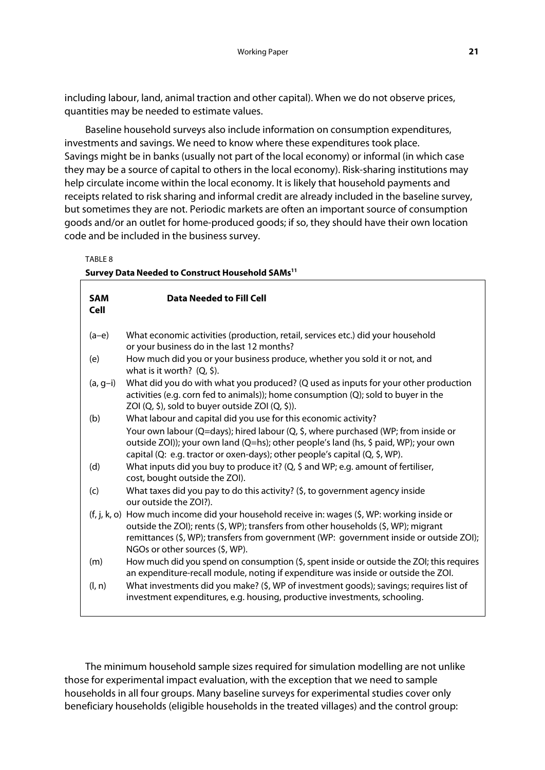including labour, land, animal traction and other capital). When we do not observe prices, quantities may be needed to estimate values.

Baseline household surveys also include information on consumption expenditures, investments and savings. We need to know where these expenditures took place. Savings might be in banks (usually not part of the local economy) or informal (in which case they may be a source of capital to others in the local economy). Risk-sharing institutions may help circulate income within the local economy. It is likely that household payments and receipts related to risk sharing and informal credit are already included in the baseline survey, but sometimes they are not. Periodic markets are often an important source of consumption goods and/or an outlet for home-produced goods; if so, they should have their own location code and be included in the business survey.

TABLE 8

|                           | Survey Data Needed to Construct Household SAMs <sup>11</sup>                                                                                                                                                                                                                                                      |
|---------------------------|-------------------------------------------------------------------------------------------------------------------------------------------------------------------------------------------------------------------------------------------------------------------------------------------------------------------|
| <b>SAM</b><br><b>Cell</b> | <b>Data Needed to Fill Cell</b>                                                                                                                                                                                                                                                                                   |
| $(a-e)$                   | What economic activities (production, retail, services etc.) did your household<br>or your business do in the last 12 months?                                                                                                                                                                                     |
| (e)                       | How much did you or your business produce, whether you sold it or not, and<br>what is it worth? $(Q, \xi)$ .                                                                                                                                                                                                      |
| $(a, g-i)$                | What did you do with what you produced? (Q used as inputs for your other production<br>activities (e.g. corn fed to animals)); home consumption (Q); sold to buyer in the<br>ZOI $(Q, \xi)$ , sold to buyer outside ZOI $(Q, \xi)$ ).                                                                             |
| (b)                       | What labour and capital did you use for this economic activity?                                                                                                                                                                                                                                                   |
|                           | Your own labour (Q=days); hired labour (Q, \$, where purchased (WP; from inside or<br>outside ZOI)); your own land (Q=hs); other people's land (hs, \$ paid, WP); your own<br>capital (Q: e.g. tractor or oxen-days); other people's capital (Q, \$, WP).                                                         |
| (d)                       | What inputs did you buy to produce it? (Q, \$ and WP; e.g. amount of fertiliser,<br>cost, bought outside the ZOI).                                                                                                                                                                                                |
| (c)                       | What taxes did you pay to do this activity? (\$, to government agency inside<br>our outside the ZOI?).                                                                                                                                                                                                            |
|                           | (f, j, k, o) How much income did your household receive in: wages (\$, WP: working inside or<br>outside the ZOI); rents (\$, WP); transfers from other households (\$, WP); migrant<br>remittances (\$, WP); transfers from government (WP: government inside or outside ZOI);<br>NGOs or other sources (\$, WP). |
| (m)                       | How much did you spend on consumption (\$, spent inside or outside the ZOI; this requires<br>an expenditure-recall module, noting if expenditure was inside or outside the ZOI.                                                                                                                                   |
| (l, n)                    | What investments did you make? (\$, WP of investment goods); savings; requires list of<br>investment expenditures, e.g. housing, productive investments, schooling.                                                                                                                                               |

The minimum household sample sizes required for simulation modelling are not unlike those for experimental impact evaluation, with the exception that we need to sample households in all four groups. Many baseline surveys for experimental studies cover only beneficiary households (eligible households in the treated villages) and the control group: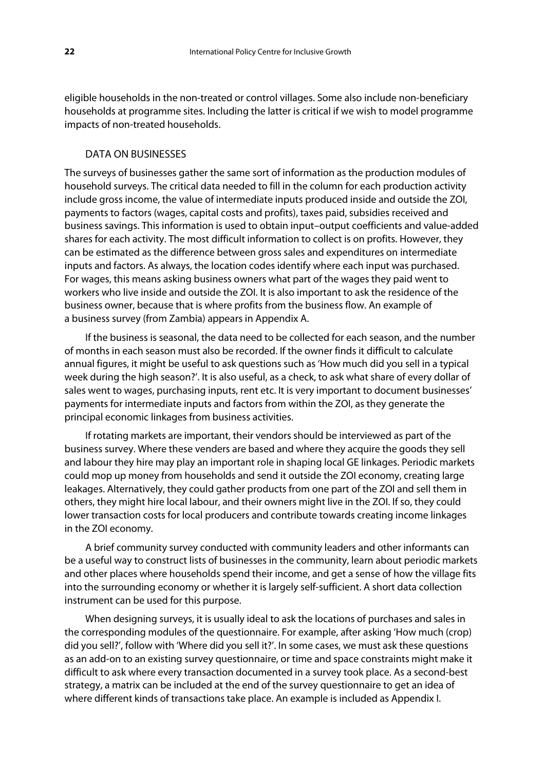eligible households in the non-treated or control villages. Some also include non-beneficiary households at programme sites. Including the latter is critical if we wish to model programme impacts of non-treated households.

### DATA ON BUSINESSES

The surveys of businesses gather the same sort of information as the production modules of household surveys. The critical data needed to fill in the column for each production activity include gross income, the value of intermediate inputs produced inside and outside the ZOI, payments to factors (wages, capital costs and profits), taxes paid, subsidies received and business savings. This information is used to obtain input–output coefficients and value-added shares for each activity. The most difficult information to collect is on profits. However, they can be estimated as the difference between gross sales and expenditures on intermediate inputs and factors. As always, the location codes identify where each input was purchased. For wages, this means asking business owners what part of the wages they paid went to workers who live inside and outside the ZOI. It is also important to ask the residence of the business owner, because that is where profits from the business flow. An example of a business survey (from Zambia) appears in Appendix A.

If the business is seasonal, the data need to be collected for each season, and the number of months in each season must also be recorded. If the owner finds it difficult to calculate annual figures, it might be useful to ask questions such as 'How much did you sell in a typical week during the high season?'. It is also useful, as a check, to ask what share of every dollar of sales went to wages, purchasing inputs, rent etc. It is very important to document businesses' payments for intermediate inputs and factors from within the ZOI, as they generate the principal economic linkages from business activities.

If rotating markets are important, their vendors should be interviewed as part of the business survey. Where these venders are based and where they acquire the goods they sell and labour they hire may play an important role in shaping local GE linkages. Periodic markets could mop up money from households and send it outside the ZOI economy, creating large leakages. Alternatively, they could gather products from one part of the ZOI and sell them in others, they might hire local labour, and their owners might live in the ZOI. If so, they could lower transaction costs for local producers and contribute towards creating income linkages in the ZOI economy.

A brief community survey conducted with community leaders and other informants can be a useful way to construct lists of businesses in the community, learn about periodic markets and other places where households spend their income, and get a sense of how the village fits into the surrounding economy or whether it is largely self-sufficient. A short data collection instrument can be used for this purpose.

When designing surveys, it is usually ideal to ask the locations of purchases and sales in the corresponding modules of the questionnaire. For example, after asking 'How much (crop) did you sell?', follow with 'Where did you sell it?'. In some cases, we must ask these questions as an add-on to an existing survey questionnaire, or time and space constraints might make it difficult to ask where every transaction documented in a survey took place. As a second-best strategy, a matrix can be included at the end of the survey questionnaire to get an idea of where different kinds of transactions take place. An example is included as Appendix I.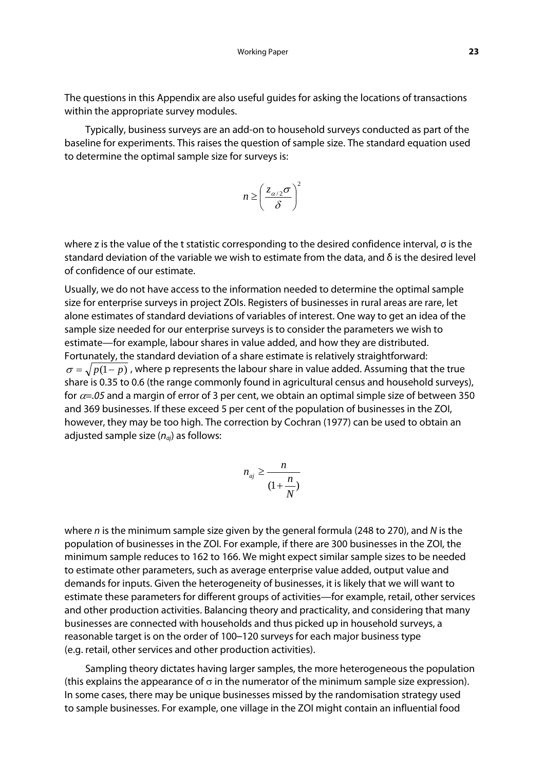The questions in this Appendix are also useful guides for asking the locations of transactions within the appropriate survey modules.

Typically, business surveys are an add-on to household surveys conducted as part of the baseline for experiments. This raises the question of sample size. The standard equation used to determine the optimal sample size for surveys is:

$$
n \ge \left(\frac{z_{\alpha/2}\sigma}{\delta}\right)^2
$$

where z is the value of the t statistic corresponding to the desired confidence interval, σ is the standard deviation of the variable we wish to estimate from the data, and  $\delta$  is the desired level of confidence of our estimate.

Usually, we do not have access to the information needed to determine the optimal sample size for enterprise surveys in project ZOIs. Registers of businesses in rural areas are rare, let alone estimates of standard deviations of variables of interest. One way to get an idea of the sample size needed for our enterprise surveys is to consider the parameters we wish to estimate—for example, labour shares in value added, and how they are distributed. Fortunately, the standard deviation of a share estimate is relatively straightforward:  $\sigma = \sqrt{p(1-p)}$ , where p represents the labour share in value added. Assuming that the true share is 0.35 to 0.6 (the range commonly found in agricultural census and household surveys), for  $\alpha$ =.05 and a margin of error of 3 per cent, we obtain an optimal simple size of between 350 and 369 businesses. If these exceed 5 per cent of the population of businesses in the ZOI, however, they may be too high. The correction by Cochran (1977) can be used to obtain an adjusted sample size  $(n_{ai})$  as follows:

$$
n_{aj} \ge \frac{n}{\left(1 + \frac{n}{N}\right)}
$$

where n is the minimum sample size given by the general formula (248 to 270), and N is the population of businesses in the ZOI. For example, if there are 300 businesses in the ZOI, the minimum sample reduces to 162 to 166. We might expect similar sample sizes to be needed to estimate other parameters, such as average enterprise value added, output value and demands for inputs. Given the heterogeneity of businesses, it is likely that we will want to estimate these parameters for different groups of activities—for example, retail, other services and other production activities. Balancing theory and practicality, and considering that many businesses are connected with households and thus picked up in household surveys, a reasonable target is on the order of 100–120 surveys for each major business type (e.g. retail, other services and other production activities).

Sampling theory dictates having larger samples, the more heterogeneous the population (this explains the appearance of  $\sigma$  in the numerator of the minimum sample size expression). In some cases, there may be unique businesses missed by the randomisation strategy used to sample businesses. For example, one village in the ZOI might contain an influential food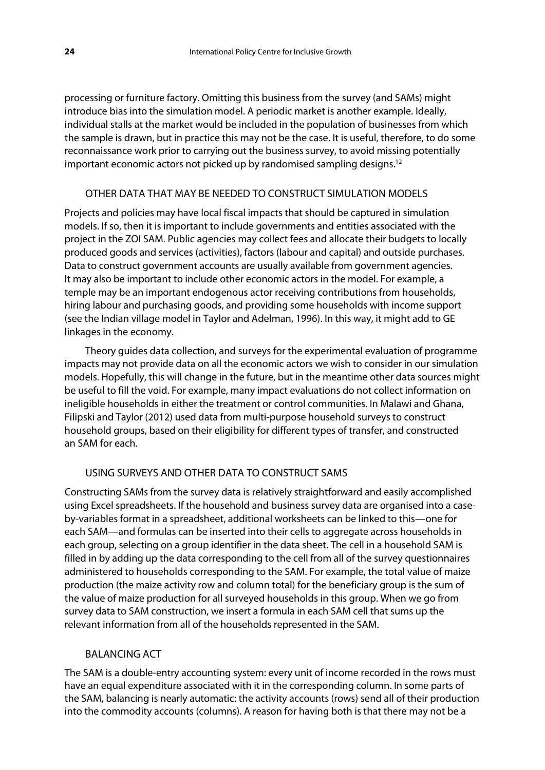processing or furniture factory. Omitting this business from the survey (and SAMs) might introduce bias into the simulation model. A periodic market is another example. Ideally, individual stalls at the market would be included in the population of businesses from which the sample is drawn, but in practice this may not be the case. It is useful, therefore, to do some reconnaissance work prior to carrying out the business survey, to avoid missing potentially important economic actors not picked up by randomised sampling designs.<sup>12</sup>

### OTHER DATA THAT MAY BE NEEDED TO CONSTRUCT SIMULATION MODELS

Projects and policies may have local fiscal impacts that should be captured in simulation models. If so, then it is important to include governments and entities associated with the project in the ZOI SAM. Public agencies may collect fees and allocate their budgets to locally produced goods and services (activities), factors (labour and capital) and outside purchases. Data to construct government accounts are usually available from government agencies. It may also be important to include other economic actors in the model. For example, a temple may be an important endogenous actor receiving contributions from households, hiring labour and purchasing goods, and providing some households with income support (see the Indian village model in Taylor and Adelman, 1996). In this way, it might add to GE linkages in the economy.

Theory guides data collection, and surveys for the experimental evaluation of programme impacts may not provide data on all the economic actors we wish to consider in our simulation models. Hopefully, this will change in the future, but in the meantime other data sources might be useful to fill the void. For example, many impact evaluations do not collect information on ineligible households in either the treatment or control communities. In Malawi and Ghana, Filipski and Taylor (2012) used data from multi-purpose household surveys to construct household groups, based on their eligibility for different types of transfer, and constructed an SAM for each.

### USING SURVEYS AND OTHER DATA TO CONSTRUCT SAMS

Constructing SAMs from the survey data is relatively straightforward and easily accomplished using Excel spreadsheets. If the household and business survey data are organised into a caseby-variables format in a spreadsheet, additional worksheets can be linked to this—one for each SAM—and formulas can be inserted into their cells to aggregate across households in each group, selecting on a group identifier in the data sheet. The cell in a household SAM is filled in by adding up the data corresponding to the cell from all of the survey questionnaires administered to households corresponding to the SAM. For example, the total value of maize production (the maize activity row and column total) for the beneficiary group is the sum of the value of maize production for all surveyed households in this group. When we go from survey data to SAM construction, we insert a formula in each SAM cell that sums up the relevant information from all of the households represented in the SAM.

### BALANCING ACT

The SAM is a double-entry accounting system: every unit of income recorded in the rows must have an equal expenditure associated with it in the corresponding column. In some parts of the SAM, balancing is nearly automatic: the activity accounts (rows) send all of their production into the commodity accounts (columns). A reason for having both is that there may not be a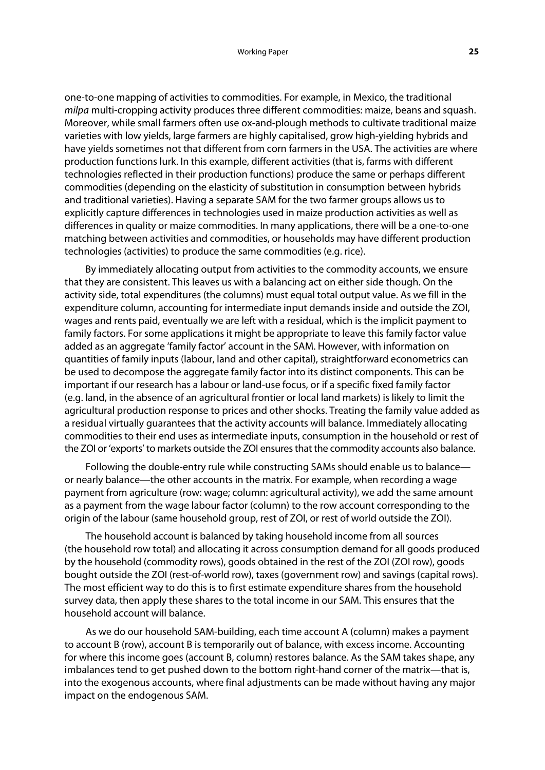one-to-one mapping of activities to commodities. For example, in Mexico, the traditional milpa multi-cropping activity produces three different commodities: maize, beans and squash. Moreover, while small farmers often use ox-and-plough methods to cultivate traditional maize varieties with low yields, large farmers are highly capitalised, grow high-yielding hybrids and have yields sometimes not that different from corn farmers in the USA. The activities are where production functions lurk. In this example, different activities (that is, farms with different technologies reflected in their production functions) produce the same or perhaps different commodities (depending on the elasticity of substitution in consumption between hybrids and traditional varieties). Having a separate SAM for the two farmer groups allows us to explicitly capture differences in technologies used in maize production activities as well as differences in quality or maize commodities. In many applications, there will be a one-to-one matching between activities and commodities, or households may have different production technologies (activities) to produce the same commodities (e.g. rice).

By immediately allocating output from activities to the commodity accounts, we ensure that they are consistent. This leaves us with a balancing act on either side though. On the activity side, total expenditures (the columns) must equal total output value. As we fill in the expenditure column, accounting for intermediate input demands inside and outside the ZOI, wages and rents paid, eventually we are left with a residual, which is the implicit payment to family factors. For some applications it might be appropriate to leave this family factor value added as an aggregate 'family factor' account in the SAM. However, with information on quantities of family inputs (labour, land and other capital), straightforward econometrics can be used to decompose the aggregate family factor into its distinct components. This can be important if our research has a labour or land-use focus, or if a specific fixed family factor (e.g. land, in the absence of an agricultural frontier or local land markets) is likely to limit the agricultural production response to prices and other shocks. Treating the family value added as a residual virtually guarantees that the activity accounts will balance. Immediately allocating commodities to their end uses as intermediate inputs, consumption in the household or rest of the ZOI or 'exports' to markets outside the ZOI ensures that the commodity accounts also balance.

Following the double-entry rule while constructing SAMs should enable us to balance or nearly balance—the other accounts in the matrix. For example, when recording a wage payment from agriculture (row: wage; column: agricultural activity), we add the same amount as a payment from the wage labour factor (column) to the row account corresponding to the origin of the labour (same household group, rest of ZOI, or rest of world outside the ZOI).

The household account is balanced by taking household income from all sources (the household row total) and allocating it across consumption demand for all goods produced by the household (commodity rows), goods obtained in the rest of the ZOI (ZOI row), goods bought outside the ZOI (rest-of-world row), taxes (government row) and savings (capital rows). The most efficient way to do this is to first estimate expenditure shares from the household survey data, then apply these shares to the total income in our SAM. This ensures that the household account will balance.

As we do our household SAM-building, each time account A (column) makes a payment to account B (row), account B is temporarily out of balance, with excess income. Accounting for where this income goes (account B, column) restores balance. As the SAM takes shape, any imbalances tend to get pushed down to the bottom right-hand corner of the matrix—that is, into the exogenous accounts, where final adjustments can be made without having any major impact on the endogenous SAM.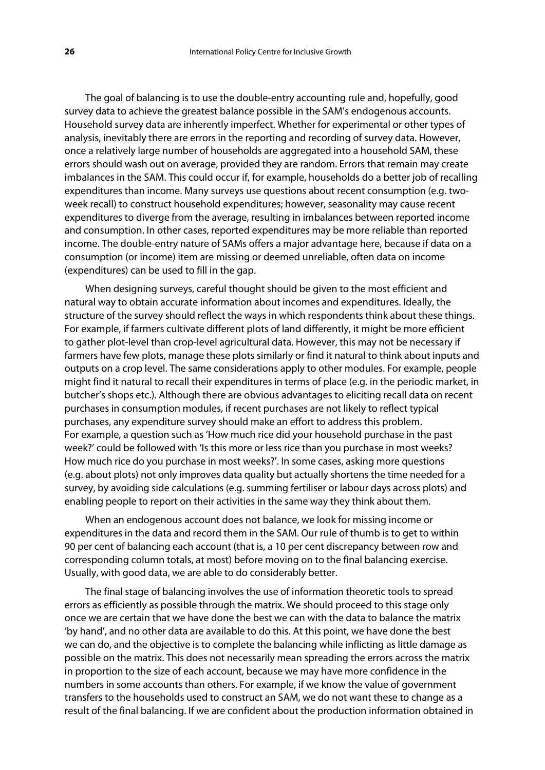The goal of balancing is to use the double-entry accounting rule and, hopefully, good survey data to achieve the greatest balance possible in the SAM's endogenous accounts. Household survey data are inherently imperfect. Whether for experimental or other types of analysis, inevitably there are errors in the reporting and recording of survey data. However, once a relatively large number of households are aggregated into a household SAM, these errors should wash out on average, provided they are random. Errors that remain may create imbalances in the SAM. This could occur if, for example, households do a better job of recalling expenditures than income. Many surveys use questions about recent consumption (e.g. twoweek recall) to construct household expenditures; however, seasonality may cause recent expenditures to diverge from the average, resulting in imbalances between reported income and consumption. In other cases, reported expenditures may be more reliable than reported income. The double-entry nature of SAMs offers a major advantage here, because if data on a consumption (or income) item are missing or deemed unreliable, often data on income (expenditures) can be used to fill in the gap.

When designing surveys, careful thought should be given to the most efficient and natural way to obtain accurate information about incomes and expenditures. Ideally, the structure of the survey should reflect the ways in which respondents think about these things. For example, if farmers cultivate different plots of land differently, it might be more efficient to gather plot-level than crop-level agricultural data. However, this may not be necessary if farmers have few plots, manage these plots similarly or find it natural to think about inputs and outputs on a crop level. The same considerations apply to other modules. For example, people might find it natural to recall their expenditures in terms of place (e.g. in the periodic market, in butcher's shops etc.). Although there are obvious advantages to eliciting recall data on recent purchases in consumption modules, if recent purchases are not likely to reflect typical purchases, any expenditure survey should make an effort to address this problem. For example, a question such as 'How much rice did your household purchase in the past week?' could be followed with 'Is this more or less rice than you purchase in most weeks? How much rice do you purchase in most weeks?'. In some cases, asking more questions (e.g. about plots) not only improves data quality but actually shortens the time needed for a survey, by avoiding side calculations (e.g. summing fertiliser or labour days across plots) and enabling people to report on their activities in the same way they think about them.

When an endogenous account does not balance, we look for missing income or expenditures in the data and record them in the SAM. Our rule of thumb is to get to within 90 per cent of balancing each account (that is, a 10 per cent discrepancy between row and corresponding column totals, at most) before moving on to the final balancing exercise. Usually, with good data, we are able to do considerably better.

The final stage of balancing involves the use of information theoretic tools to spread errors as efficiently as possible through the matrix. We should proceed to this stage only once we are certain that we have done the best we can with the data to balance the matrix 'by hand', and no other data are available to do this. At this point, we have done the best we can do, and the objective is to complete the balancing while inflicting as little damage as possible on the matrix. This does not necessarily mean spreading the errors across the matrix in proportion to the size of each account, because we may have more confidence in the numbers in some accounts than others. For example, if we know the value of government transfers to the households used to construct an SAM, we do not want these to change as a result of the final balancing. If we are confident about the production information obtained in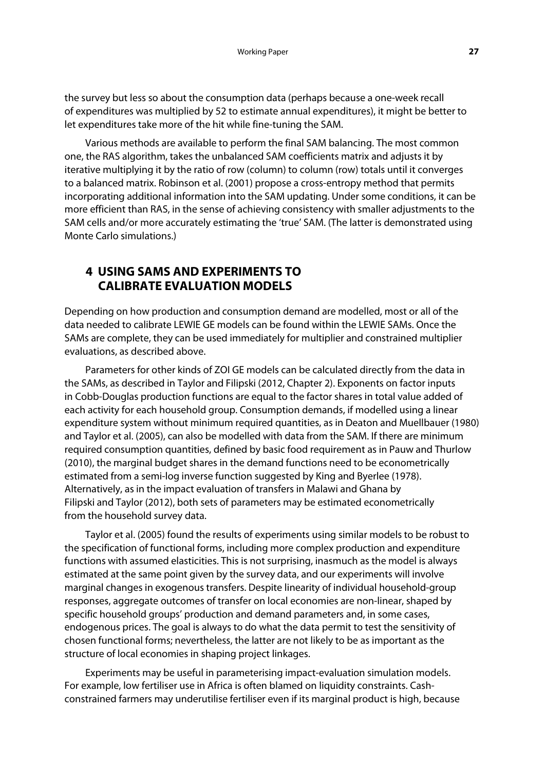the survey but less so about the consumption data (perhaps because a one-week recall of expenditures was multiplied by 52 to estimate annual expenditures), it might be better to let expenditures take more of the hit while fine-tuning the SAM.

Various methods are available to perform the final SAM balancing. The most common one, the RAS algorithm, takes the unbalanced SAM coefficients matrix and adjusts it by iterative multiplying it by the ratio of row (column) to column (row) totals until it converges to a balanced matrix. Robinson et al. (2001) propose a cross-entropy method that permits incorporating additional information into the SAM updating. Under some conditions, it can be more efficient than RAS, in the sense of achieving consistency with smaller adjustments to the SAM cells and/or more accurately estimating the 'true' SAM. (The latter is demonstrated using Monte Carlo simulations.)

# **4 USING SAMS AND EXPERIMENTS TO CALIBRATE EVALUATION MODELS**

Depending on how production and consumption demand are modelled, most or all of the data needed to calibrate LEWIE GE models can be found within the LEWIE SAMs. Once the SAMs are complete, they can be used immediately for multiplier and constrained multiplier evaluations, as described above.

Parameters for other kinds of ZOI GE models can be calculated directly from the data in the SAMs, as described in Taylor and Filipski (2012, Chapter 2). Exponents on factor inputs in Cobb-Douglas production functions are equal to the factor shares in total value added of each activity for each household group. Consumption demands, if modelled using a linear expenditure system without minimum required quantities, as in Deaton and Muellbauer (1980) and Taylor et al. (2005), can also be modelled with data from the SAM. If there are minimum required consumption quantities, defined by basic food requirement as in Pauw and Thurlow (2010), the marginal budget shares in the demand functions need to be econometrically estimated from a semi-log inverse function suggested by King and Byerlee (1978). Alternatively, as in the impact evaluation of transfers in Malawi and Ghana by Filipski and Taylor (2012), both sets of parameters may be estimated econometrically from the household survey data.

Taylor et al. (2005) found the results of experiments using similar models to be robust to the specification of functional forms, including more complex production and expenditure functions with assumed elasticities. This is not surprising, inasmuch as the model is always estimated at the same point given by the survey data, and our experiments will involve marginal changes in exogenous transfers. Despite linearity of individual household-group responses, aggregate outcomes of transfer on local economies are non-linear, shaped by specific household groups' production and demand parameters and, in some cases, endogenous prices. The goal is always to do what the data permit to test the sensitivity of chosen functional forms; nevertheless, the latter are not likely to be as important as the structure of local economies in shaping project linkages.

Experiments may be useful in parameterising impact-evaluation simulation models. For example, low fertiliser use in Africa is often blamed on liquidity constraints. Cashconstrained farmers may underutilise fertiliser even if its marginal product is high, because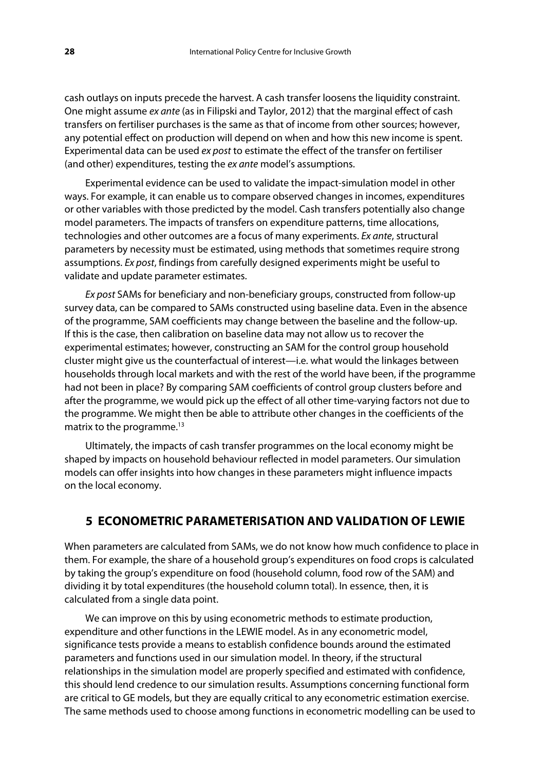cash outlays on inputs precede the harvest. A cash transfer loosens the liquidity constraint. One might assume ex ante (as in Filipski and Taylor, 2012) that the marginal effect of cash transfers on fertiliser purchases is the same as that of income from other sources; however, any potential effect on production will depend on when and how this new income is spent. Experimental data can be used ex post to estimate the effect of the transfer on fertiliser (and other) expenditures, testing the ex ante model's assumptions.

Experimental evidence can be used to validate the impact-simulation model in other ways. For example, it can enable us to compare observed changes in incomes, expenditures or other variables with those predicted by the model. Cash transfers potentially also change model parameters. The impacts of transfers on expenditure patterns, time allocations, technologies and other outcomes are a focus of many experiments. Ex ante, structural parameters by necessity must be estimated, using methods that sometimes require strong assumptions. Ex post, findings from carefully designed experiments might be useful to validate and update parameter estimates.

Ex post SAMs for beneficiary and non-beneficiary groups, constructed from follow-up survey data, can be compared to SAMs constructed using baseline data. Even in the absence of the programme, SAM coefficients may change between the baseline and the follow-up. If this is the case, then calibration on baseline data may not allow us to recover the experimental estimates; however, constructing an SAM for the control group household cluster might give us the counterfactual of interest—i.e. what would the linkages between households through local markets and with the rest of the world have been, if the programme had not been in place? By comparing SAM coefficients of control group clusters before and after the programme, we would pick up the effect of all other time-varying factors not due to the programme. We might then be able to attribute other changes in the coefficients of the matrix to the programme.<sup>13</sup>

Ultimately, the impacts of cash transfer programmes on the local economy might be shaped by impacts on household behaviour reflected in model parameters. Our simulation models can offer insights into how changes in these parameters might influence impacts on the local economy.

# **5 ECONOMETRIC PARAMETERISATION AND VALIDATION OF LEWIE**

When parameters are calculated from SAMs, we do not know how much confidence to place in them. For example, the share of a household group's expenditures on food crops is calculated by taking the group's expenditure on food (household column, food row of the SAM) and dividing it by total expenditures (the household column total). In essence, then, it is calculated from a single data point.

We can improve on this by using econometric methods to estimate production, expenditure and other functions in the LEWIE model. As in any econometric model, significance tests provide a means to establish confidence bounds around the estimated parameters and functions used in our simulation model. In theory, if the structural relationships in the simulation model are properly specified and estimated with confidence, this should lend credence to our simulation results. Assumptions concerning functional form are critical to GE models, but they are equally critical to any econometric estimation exercise. The same methods used to choose among functions in econometric modelling can be used to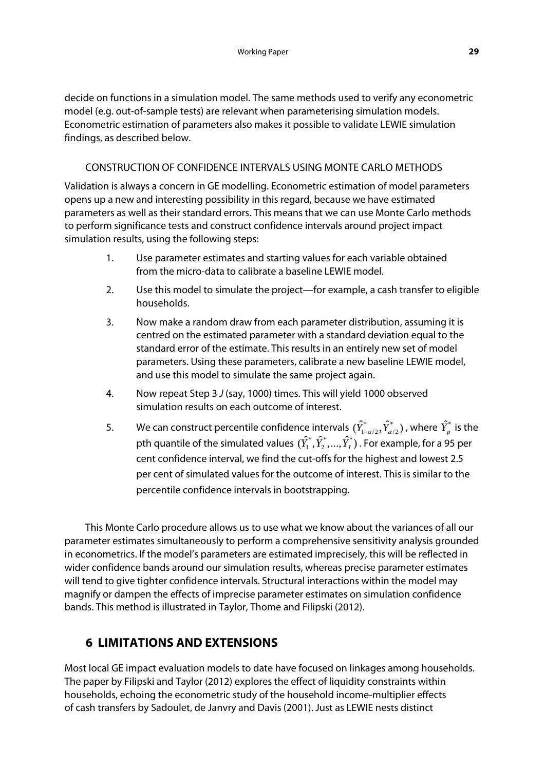decide on functions in a simulation model. The same methods used to verify any econometric model (e.g. out-of-sample tests) are relevant when parameterising simulation models. Econometric estimation of parameters also makes it possible to validate LEWIE simulation findings, as described below.

# CONSTRUCTION OF CONFIDENCE INTERVALS USING MONTE CARLO METHODS

Validation is always a concern in GE modelling. Econometric estimation of model parameters opens up a new and interesting possibility in this regard, because we have estimated parameters as well as their standard errors. This means that we can use Monte Carlo methods to perform significance tests and construct confidence intervals around project impact simulation results, using the following steps:

- 1. Use parameter estimates and starting values for each variable obtained from the micro-data to calibrate a baseline LEWIE model.
- 2. Use this model to simulate the project—for example, a cash transfer to eligible households.
- 3. Now make a random draw from each parameter distribution, assuming it is centred on the estimated parameter with a standard deviation equal to the standard error of the estimate. This results in an entirely new set of model parameters. Using these parameters, calibrate a new baseline LEWIE model, and use this model to simulate the same project again.
- 4. Now repeat Step 3 J (say, 1000) times. This will yield 1000 observed simulation results on each outcome of interest.
- 5. We can construct percentile confidence intervals  $(\hat{Y}^*_{1-\alpha/2}, \hat{Y}^*_{\alpha/2})$  , where  $\hat{Y}^*_p$  is the pth quantile of the simulated values  $(\hat{Y}_1^*, \hat{Y}_2^*,...,\hat{Y}_J^*)$  . For example, for a 95 per cent confidence interval, we find the cut-offs for the highest and lowest 2.5 per cent of simulated values for the outcome of interest. This is similar to the percentile confidence intervals in bootstrapping.

This Monte Carlo procedure allows us to use what we know about the variances of all our parameter estimates simultaneously to perform a comprehensive sensitivity analysis grounded in econometrics. If the model's parameters are estimated imprecisely, this will be reflected in wider confidence bands around our simulation results, whereas precise parameter estimates will tend to give tighter confidence intervals. Structural interactions within the model may magnify or dampen the effects of imprecise parameter estimates on simulation confidence bands. This method is illustrated in Taylor, Thome and Filipski (2012).

# **6 LIMITATIONS AND EXTENSIONS**

Most local GE impact evaluation models to date have focused on linkages among households. The paper by Filipski and Taylor (2012) explores the effect of liquidity constraints within households, echoing the econometric study of the household income-multiplier effects of cash transfers by Sadoulet, de Janvry and Davis (2001). Just as LEWIE nests distinct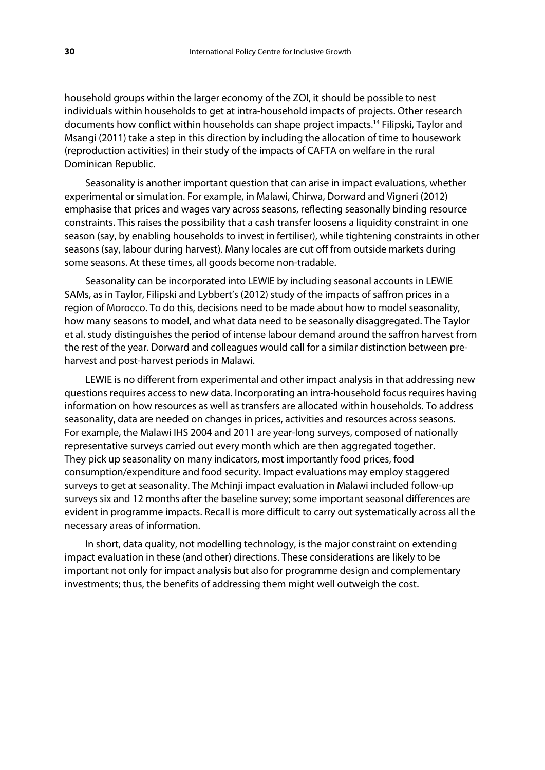household groups within the larger economy of the ZOI, it should be possible to nest individuals within households to get at intra-household impacts of projects. Other research documents how conflict within households can shape project impacts.14 Filipski, Taylor and Msangi (2011) take a step in this direction by including the allocation of time to housework (reproduction activities) in their study of the impacts of CAFTA on welfare in the rural Dominican Republic.

Seasonality is another important question that can arise in impact evaluations, whether experimental or simulation. For example, in Malawi, Chirwa, Dorward and Vigneri (2012) emphasise that prices and wages vary across seasons, reflecting seasonally binding resource constraints. This raises the possibility that a cash transfer loosens a liquidity constraint in one season (say, by enabling households to invest in fertiliser), while tightening constraints in other seasons (say, labour during harvest). Many locales are cut off from outside markets during some seasons. At these times, all goods become non-tradable.

Seasonality can be incorporated into LEWIE by including seasonal accounts in LEWIE SAMs, as in Taylor, Filipski and Lybbert's (2012) study of the impacts of saffron prices in a region of Morocco. To do this, decisions need to be made about how to model seasonality, how many seasons to model, and what data need to be seasonally disaggregated. The Taylor et al. study distinguishes the period of intense labour demand around the saffron harvest from the rest of the year. Dorward and colleagues would call for a similar distinction between preharvest and post-harvest periods in Malawi.

LEWIE is no different from experimental and other impact analysis in that addressing new questions requires access to new data. Incorporating an intra-household focus requires having information on how resources as well as transfers are allocated within households. To address seasonality, data are needed on changes in prices, activities and resources across seasons. For example, the Malawi IHS 2004 and 2011 are year-long surveys, composed of nationally representative surveys carried out every month which are then aggregated together. They pick up seasonality on many indicators, most importantly food prices, food consumption/expenditure and food security. Impact evaluations may employ staggered surveys to get at seasonality. The Mchinji impact evaluation in Malawi included follow-up surveys six and 12 months after the baseline survey; some important seasonal differences are evident in programme impacts. Recall is more difficult to carry out systematically across all the necessary areas of information.

In short, data quality, not modelling technology, is the major constraint on extending impact evaluation in these (and other) directions. These considerations are likely to be important not only for impact analysis but also for programme design and complementary investments; thus, the benefits of addressing them might well outweigh the cost.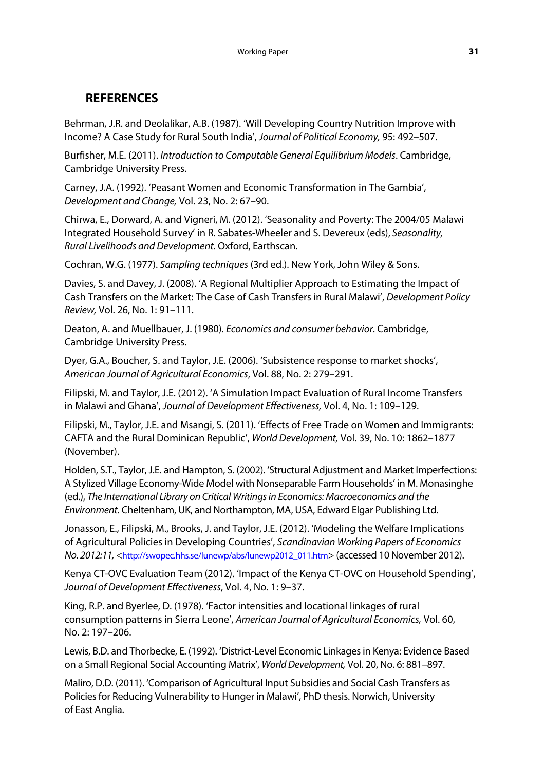# **REFERENCES**

Behrman, J.R. and Deolalikar, A.B. (1987). 'Will Developing Country Nutrition Improve with Income? A Case Study for Rural South India', Journal of Political Economy, 95: 492–507.

Burfisher, M.E. (2011). Introduction to Computable General Equilibrium Models. Cambridge, Cambridge University Press.

Carney, J.A. (1992). 'Peasant Women and Economic Transformation in The Gambia', Development and Change, Vol. 23, No. 2: 67–90.

Chirwa, E., Dorward, A. and Vigneri, M. (2012). 'Seasonality and Poverty: The 2004/05 Malawi Integrated Household Survey' in R. Sabates-Wheeler and S. Devereux (eds), Seasonality, Rural Livelihoods and Development. Oxford, Earthscan.

Cochran, W.G. (1977). Sampling techniques (3rd ed.). New York, John Wiley & Sons.

Davies, S. and Davey, J. (2008). 'A Regional Multiplier Approach to Estimating the Impact of Cash Transfers on the Market: The Case of Cash Transfers in Rural Malawi', Development Policy Review, Vol. 26, No. 1: 91–111.

Deaton, A. and Muellbauer, J. (1980). Economics and consumer behavior. Cambridge, Cambridge University Press.

Dyer, G.A., Boucher, S. and Taylor, J.E. (2006). 'Subsistence response to market shocks', American Journal of Agricultural Economics, Vol. 88, No. 2: 279–291.

Filipski, M. and Taylor, J.E. (2012). 'A Simulation Impact Evaluation of Rural Income Transfers in Malawi and Ghana', Journal of Development Effectiveness, Vol. 4, No. 1: 109–129.

Filipski, M., Taylor, J.E. and Msangi, S. (2011). 'Effects of Free Trade on Women and Immigrants: CAFTA and the Rural Dominican Republic', World Development, Vol. 39, No. 10: 1862–1877 (November).

Holden, S.T., Taylor, J.E. and Hampton, S. (2002). 'Structural Adjustment and Market Imperfections: A Stylized Village Economy-Wide Model with Nonseparable Farm Households' in M. Monasinghe (ed.), The International Library on Critical Writings in Economics: Macroeconomics and the Environment. Cheltenham, UK, and Northampton, MA, USA, Edward Elgar Publishing Ltd.

Jonasson, E., Filipski, M., Brooks, J. and Taylor, J.E. (2012). 'Modeling the Welfare Implications of Agricultural Policies in Developing Countries', Scandinavian Working Papers of Economics No. 2012:11, <http://swopec.hhs.se/lunewp/abs/lunewp2012\_011.htm> (accessed 10 November 2012).

Kenya CT-OVC Evaluation Team (2012). 'Impact of the Kenya CT-OVC on Household Spending', Journal of Development Effectiveness, Vol. 4, No. 1: 9–37.

King, R.P. and Byerlee, D. (1978). 'Factor intensities and locational linkages of rural consumption patterns in Sierra Leone', American Journal of Agricultural Economics, Vol. 60, No. 2: 197–206.

Lewis, B.D. and Thorbecke, E. (1992). 'District-Level Economic Linkages in Kenya: Evidence Based on a Small Regional Social Accounting Matrix', World Development, Vol. 20, No. 6: 881–897.

Maliro, D.D. (2011). 'Comparison of Agricultural Input Subsidies and Social Cash Transfers as Policies for Reducing Vulnerability to Hunger in Malawi', PhD thesis. Norwich, University of East Anglia.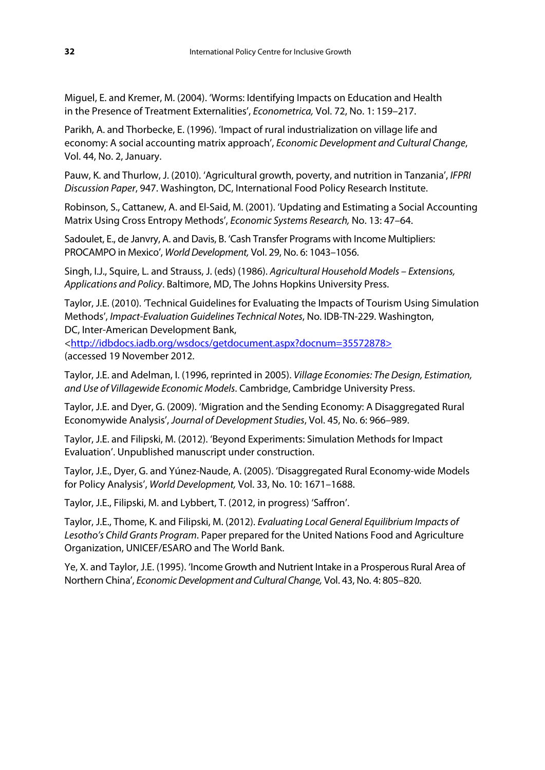Miguel, E. and Kremer, M. (2004). 'Worms: Identifying Impacts on Education and Health in the Presence of Treatment Externalities', Econometrica, Vol. 72, No. 1: 159–217.

Parikh, A. and Thorbecke, E. (1996). 'Impact of rural industrialization on village life and economy: A social accounting matrix approach', Economic Development and Cultural Change, Vol. 44, No. 2, January.

Pauw, K. and Thurlow, J. (2010). 'Agricultural growth, poverty, and nutrition in Tanzania', IFPRI Discussion Paper, 947. Washington, DC, International Food Policy Research Institute.

Robinson, S., Cattanew, A. and El-Said, M. (2001). 'Updating and Estimating a Social Accounting Matrix Using Cross Entropy Methods', Economic Systems Research, No. 13: 47–64.

Sadoulet, E., de Janvry, A. and Davis, B. 'Cash Transfer Programs with Income Multipliers: PROCAMPO in Mexico', World Development, Vol. 29, No. 6: 1043–1056.

Singh, I.J., Squire, L. and Strauss, J. (eds) (1986). Agricultural Household Models – Extensions, Applications and Policy. Baltimore, MD, The Johns Hopkins University Press.

Taylor, J.E. (2010). 'Technical Guidelines for Evaluating the Impacts of Tourism Using Simulation Methods', Impact-Evaluation Guidelines Technical Notes, No. IDB-TN-229. Washington, DC, Inter-American Development Bank,

<http://idbdocs.iadb.org/wsdocs/getdocument.aspx?docnum=35572878>

(accessed 19 November 2012.

Taylor, J.E. and Adelman, I. (1996, reprinted in 2005). Village Economies: The Design, Estimation, and Use of Villagewide Economic Models. Cambridge, Cambridge University Press.

Taylor, J.E. and Dyer, G. (2009). 'Migration and the Sending Economy: A Disaggregated Rural Economywide Analysis', Journal of Development Studies, Vol. 45, No. 6: 966–989.

Taylor, J.E. and Filipski, M. (2012). 'Beyond Experiments: Simulation Methods for Impact Evaluation'. Unpublished manuscript under construction.

Taylor, J.E., Dyer, G. and Yúnez-Naude, A. (2005). 'Disaggregated Rural Economy-wide Models for Policy Analysis', World Development, Vol. 33, No. 10: 1671–1688.

Taylor, J.E., Filipski, M. and Lybbert, T. (2012, in progress) 'Saffron'.

Taylor, J.E., Thome, K. and Filipski, M. (2012). Evaluating Local General Equilibrium Impacts of Lesotho's Child Grants Program. Paper prepared for the United Nations Food and Agriculture Organization, UNICEF/ESARO and The World Bank.

Ye, X. and Taylor, J.E. (1995). 'Income Growth and Nutrient Intake in a Prosperous Rural Area of Northern China', Economic Development and Cultural Change, Vol. 43, No. 4: 805–820.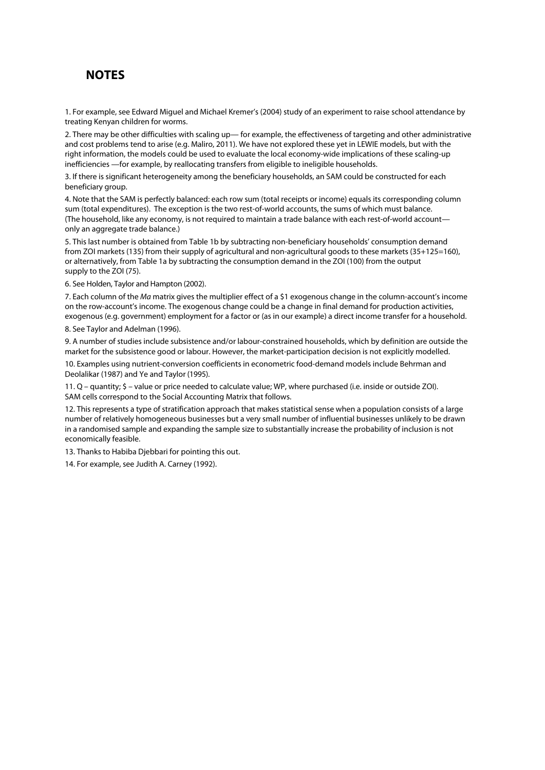# **NOTES**

1. For example, see Edward Miguel and Michael Kremer's (2004) study of an experiment to raise school attendance by treating Kenyan children for worms.

2. There may be other difficulties with scaling up- for example, the effectiveness of targeting and other administrative and cost problems tend to arise (e.g. Maliro, 2011). We have not explored these yet in LEWIE models, but with the right information, the models could be used to evaluate the local economy-wide implications of these scaling-up inefficiencies —for example, by reallocating transfers from eligible to ineligible households.

3. If there is significant heterogeneity among the beneficiary households, an SAM could be constructed for each beneficiary group.

4. Note that the SAM is perfectly balanced: each row sum (total receipts or income) equals its corresponding column sum (total expenditures). The exception is the two rest-of-world accounts, the sums of which must balance. (The household, like any economy, is not required to maintain a trade balance with each rest-of-world account only an aggregate trade balance.)

5. This last number is obtained from Table 1b by subtracting non-beneficiary households' consumption demand from ZOI markets (135) from their supply of agricultural and non-agricultural goods to these markets (35+125=160), or alternatively, from Table 1a by subtracting the consumption demand in the ZOI (100) from the output supply to the ZOI (75).

6. See Holden, Taylor and Hampton (2002).

7. Each column of the Ma matrix gives the multiplier effect of a \$1 exogenous change in the column-account's income on the row-account's income. The exogenous change could be a change in final demand for production activities, exogenous (e.g. government) employment for a factor or (as in our example) a direct income transfer for a household.

8. See Taylor and Adelman (1996).

9. A number of studies include subsistence and/or labour-constrained households, which by definition are outside the market for the subsistence good or labour. However, the market-participation decision is not explicitly modelled.

10. Examples using nutrient-conversion coefficients in econometric food-demand models include Behrman and Deolalikar (1987) and Ye and Taylor (1995).

11. Q – quantity; \$ – value or price needed to calculate value; WP, where purchased (i.e. inside or outside ZOI). SAM cells correspond to the Social Accounting Matrix that follows.

12. This represents a type of stratification approach that makes statistical sense when a population consists of a large number of relatively homogeneous businesses but a very small number of influential businesses unlikely to be drawn in a randomised sample and expanding the sample size to substantially increase the probability of inclusion is not economically feasible.

13. Thanks to Habiba Djebbari for pointing this out.

14. For example, see Judith A. Carney (1992).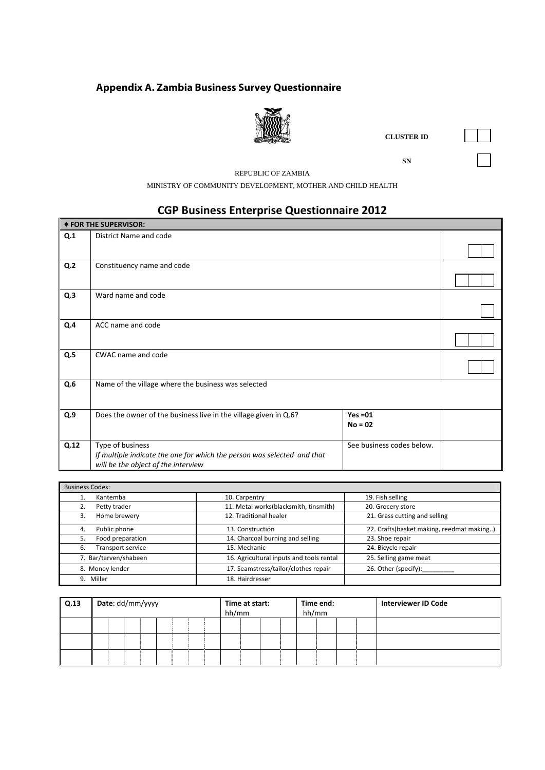# **Appendix A. Zambia Business Survey Questionnaire**



**CLUSTER ID** 

**SN** SN

REPUBLIC OF ZAMBIA

MINISTRY OF COMMUNITY DEVELOPMENT, MOTHER AND CHILD HEALTH

# **CGP Business Enterprise Questionnaire 2012**

|                | ♦ FOR THE SUPERVISOR:                                                                                                              |                           |  |  |  |  |  |  |
|----------------|------------------------------------------------------------------------------------------------------------------------------------|---------------------------|--|--|--|--|--|--|
| Q.1            | District Name and code                                                                                                             |                           |  |  |  |  |  |  |
| Q <sub>2</sub> | Constituency name and code                                                                                                         |                           |  |  |  |  |  |  |
| Q.3            | Ward name and code                                                                                                                 |                           |  |  |  |  |  |  |
| Q.4            | ACC name and code                                                                                                                  |                           |  |  |  |  |  |  |
| Q.5            | CWAC name and code                                                                                                                 |                           |  |  |  |  |  |  |
| Q.6            | Name of the village where the business was selected                                                                                |                           |  |  |  |  |  |  |
| Q.9            | Does the owner of the business live in the village given in Q.6?                                                                   | $Yes = 01$<br>$No = 02$   |  |  |  |  |  |  |
| Q.12           | Type of business<br>If multiple indicate the one for which the person was selected and that<br>will be the object of the interview | See business codes below. |  |  |  |  |  |  |

| <b>Business Codes:</b>  |                                          |                                           |  |  |  |  |  |  |  |  |  |
|-------------------------|------------------------------------------|-------------------------------------------|--|--|--|--|--|--|--|--|--|
| Kantemba                | 10. Carpentry                            | 19. Fish selling                          |  |  |  |  |  |  |  |  |  |
| Petty trader            | 11. Metal works(blacksmith, tinsmith)    | 20. Grocery store                         |  |  |  |  |  |  |  |  |  |
| Home brewery<br>3.      | 12. Traditional healer                   | 21. Grass cutting and selling             |  |  |  |  |  |  |  |  |  |
| Public phone<br>4.      | 13. Construction                         | 22. Crafts(basket making, reedmat making) |  |  |  |  |  |  |  |  |  |
| Food preparation<br>5.  | 14. Charcoal burning and selling         | 23. Shoe repair                           |  |  |  |  |  |  |  |  |  |
| Transport service<br>6. | 15. Mechanic                             | 24. Bicycle repair                        |  |  |  |  |  |  |  |  |  |
| 7. Bar/tarven/shabeen   | 16. Agricultural inputs and tools rental | 25. Selling game meat                     |  |  |  |  |  |  |  |  |  |
| 8. Money lender         | 17. Seamstress/tailor/clothes repair     | 26. Other (specify):                      |  |  |  |  |  |  |  |  |  |
| Miller<br>9.            | 18. Hairdresser                          |                                           |  |  |  |  |  |  |  |  |  |

| Q.13 | Date: dd/mm/yyyy |  |  |  | hh/mm | Time at start: |  | hh/mm | Time end: |  | <b>Interviewer ID Code</b> |  |  |
|------|------------------|--|--|--|-------|----------------|--|-------|-----------|--|----------------------------|--|--|
|      |                  |  |  |  |       |                |  |       |           |  |                            |  |  |
|      |                  |  |  |  |       |                |  |       |           |  |                            |  |  |
|      |                  |  |  |  |       |                |  |       |           |  |                            |  |  |

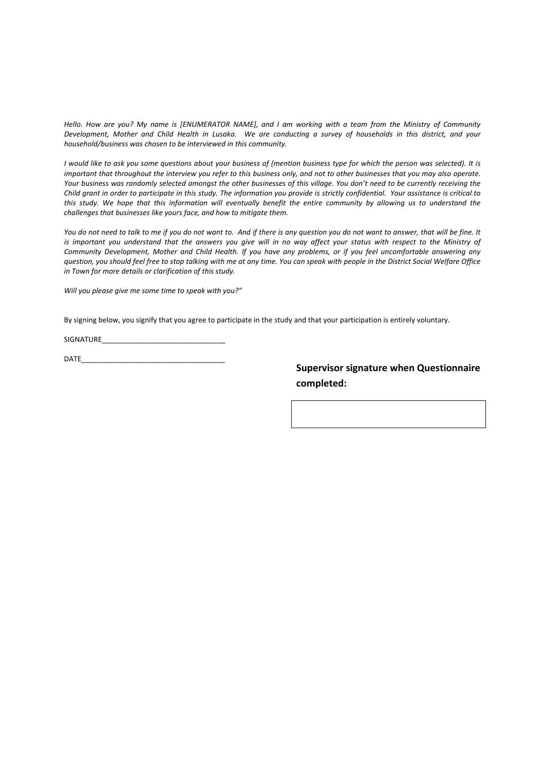Hello. How are you? My name is [ENUMERATOR NAME], and I am working with a team from the Ministry of Community Development, Mother and Child Health in Lusaka. We are conducting a survey of households in this district, and your *household/business was chosen to be interviewed in this community.* 

I would like to ask you some questions about your business of (mention business type for which the person was selected). It is important that throughout the interview you refer to this business only, and not to other businesses that you may also operate. Your business was randomly selected amongst the other businesses of this village. You don't need to be currently receiving the Child grant in order to participate in this study. The information you provide is strictly confidential. Your assistance is critical to this study. We hope that this information will eventually benefit the entire community by allowing us to understand the *challenges that businesses like yours face, and how to mitigate them.*

You do not need to talk to me if you do not want to. And if there is any question you do not want to answer, that will be fine. It is important you understand that the answers you give will in no way affect your status with respect to the Ministry of Community Development, Mother and Child Health. If you have any problems, or if you feel uncomfortable answering any question, you should feel free to stop talking with me at any time. You can speak with people in the District Social Welfare Office *in Town for more details or clarification of this study.*

*Will you please give me some time to speak with you?"*

By signing below, you signify that you agree to participate in the study and that your participation is entirely voluntary.

SIGNATURE

DATE\_\_\_\_\_\_\_\_\_\_\_\_\_\_\_\_\_\_\_\_\_\_\_\_\_\_\_\_\_\_\_\_\_\_\_\_

**Supervisor signature when Questionnaire completed:**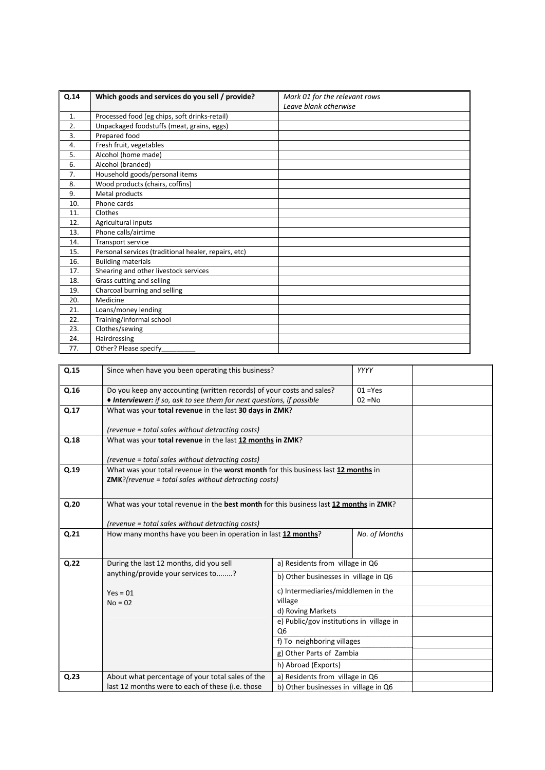| Q.14 | Which goods and services do you sell / provide?      | Mark 01 for the relevant rows |
|------|------------------------------------------------------|-------------------------------|
|      |                                                      | Leave blank otherwise         |
| 1.   | Processed food (eg chips, soft drinks-retail)        |                               |
| 2.   | Unpackaged foodstuffs (meat, grains, eggs)           |                               |
| 3.   | Prepared food                                        |                               |
| 4.   | Fresh fruit, vegetables                              |                               |
| 5.   | Alcohol (home made)                                  |                               |
| 6.   | Alcohol (branded)                                    |                               |
| 7.   | Household goods/personal items                       |                               |
| 8.   | Wood products (chairs, coffins)                      |                               |
| 9.   | Metal products                                       |                               |
| 10.  | Phone cards                                          |                               |
| 11.  | Clothes                                              |                               |
| 12.  | Agricultural inputs                                  |                               |
| 13.  | Phone calls/airtime                                  |                               |
| 14.  | Transport service                                    |                               |
| 15.  | Personal services (traditional healer, repairs, etc) |                               |
| 16.  | <b>Building materials</b>                            |                               |
| 17.  | Shearing and other livestock services                |                               |
| 18.  | Grass cutting and selling                            |                               |
| 19.  | Charcoal burning and selling                         |                               |
| 20.  | Medicine                                             |                               |
| 21.  | Loans/money lending                                  |                               |
| 22.  | Training/informal school                             |                               |
| 23.  | Clothes/sewing                                       |                               |
| 24.  | Hairdressing                                         |                               |
| 77.  | Other? Please specify                                |                               |

| Q.15 | Since when have you been operating this business?                                      |                                          | YYYY          |  |
|------|----------------------------------------------------------------------------------------|------------------------------------------|---------------|--|
| Q.16 | Do you keep any accounting (written records) of your costs and sales?                  |                                          | $01 = Yes$    |  |
|      | ♦ Interviewer: if so, ask to see them for next questions, if possible                  |                                          | $02 = No$     |  |
| Q.17 | What was your total revenue in the last 30 days in ZMK?                                |                                          |               |  |
|      |                                                                                        |                                          |               |  |
|      | (revenue = total sales without detracting costs)                                       |                                          |               |  |
| Q.18 | What was your total revenue in the last 12 months in ZMK?                              |                                          |               |  |
|      |                                                                                        |                                          |               |  |
|      | (revenue = total sales without detracting costs)                                       |                                          |               |  |
| Q.19 | What was your total revenue in the worst month for this business last 12 months in     |                                          |               |  |
|      | <b>ZMK?</b> (revenue = total sales without detracting costs)                           |                                          |               |  |
|      |                                                                                        |                                          |               |  |
| Q.20 | What was your total revenue in the best month for this business last 12 months in ZMK? |                                          |               |  |
|      |                                                                                        |                                          |               |  |
|      | (revenue = total sales without detracting costs)                                       |                                          |               |  |
| Q.21 | How many months have you been in operation in last 12 months?                          |                                          | No. of Months |  |
|      |                                                                                        |                                          |               |  |
| Q.22 | During the last 12 months, did you sell                                                | a) Residents from village in Q6          |               |  |
|      | anything/provide your services to?                                                     |                                          |               |  |
|      |                                                                                        | b) Other businesses in village in Q6     |               |  |
|      | $Yes = 01$                                                                             | c) Intermediaries/middlemen in the       |               |  |
|      | $No = 02$                                                                              | village                                  |               |  |
|      |                                                                                        | d) Roving Markets                        |               |  |
|      |                                                                                        | e) Public/gov institutions in village in |               |  |
|      |                                                                                        | Q <sub>6</sub>                           |               |  |
|      |                                                                                        | f) To neighboring villages               |               |  |
|      |                                                                                        | g) Other Parts of Zambia                 |               |  |
|      |                                                                                        | h) Abroad (Exports)                      |               |  |
| Q.23 | About what percentage of your total sales of the                                       | a) Residents from village in Q6          |               |  |
|      | last 12 months were to each of these (i.e. those                                       | b) Other businesses in village in Q6     |               |  |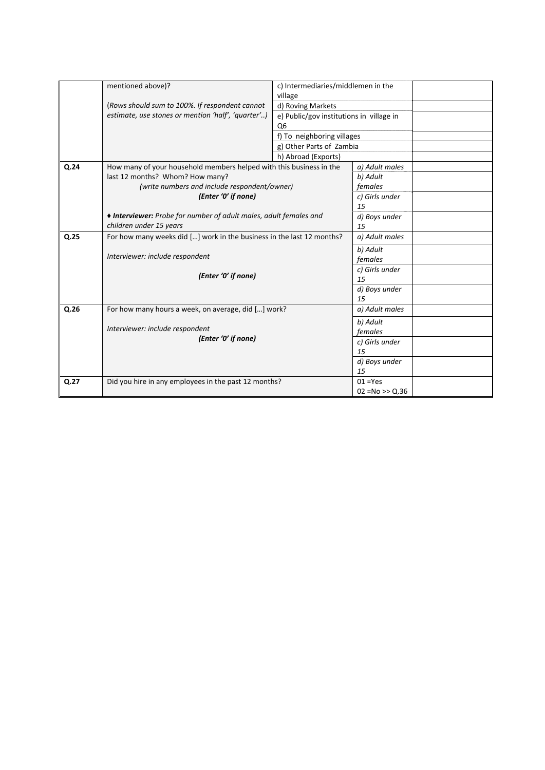|      | mentioned above)?                                                     | c) Intermediaries/middlemen in the<br>village |                    |  |
|------|-----------------------------------------------------------------------|-----------------------------------------------|--------------------|--|
|      | (Rows should sum to 100%. If respondent cannot                        | d) Roving Markets                             |                    |  |
|      | estimate, use stones or mention 'half', 'quarter')                    | e) Public/gov institutions in village in      |                    |  |
|      |                                                                       | Q <sub>6</sub>                                |                    |  |
|      |                                                                       | f) To neighboring villages                    |                    |  |
|      |                                                                       | g) Other Parts of Zambia                      |                    |  |
|      |                                                                       | h) Abroad (Exports)                           |                    |  |
| Q.24 | How many of your household members helped with this business in the   |                                               | a) Adult males     |  |
|      | last 12 months? Whom? How many?                                       |                                               | b) Adult           |  |
|      | (write numbers and include respondent/owner)                          |                                               | females            |  |
|      | (Enter '0' if none)                                                   |                                               | c) Girls under     |  |
|      |                                                                       |                                               | 15                 |  |
|      | ♦ Interviewer: Probe for number of adult males, adult females and     |                                               | d) Boys under      |  |
|      | children under 15 years                                               |                                               | 15                 |  |
| Q.25 | For how many weeks did [] work in the business in the last 12 months? |                                               | a) Adult males     |  |
|      |                                                                       |                                               | b) Adult           |  |
|      | Interviewer: include respondent                                       |                                               | females            |  |
|      |                                                                       |                                               | c) Girls under     |  |
|      | (Enter '0' if none)                                                   |                                               | 15                 |  |
|      |                                                                       |                                               | d) Boys under      |  |
|      |                                                                       |                                               | 15                 |  |
| Q.26 | For how many hours a week, on average, did [] work?                   |                                               | a) Adult males     |  |
|      |                                                                       |                                               | b) Adult           |  |
|      | Interviewer: include respondent                                       |                                               | females            |  |
|      | (Enter '0' if none)                                                   |                                               | c) Girls under     |  |
|      |                                                                       |                                               | 15                 |  |
|      |                                                                       |                                               | d) Boys under      |  |
|      |                                                                       |                                               | 15                 |  |
| Q.27 | Did you hire in any employees in the past 12 months?                  |                                               | $01 = Yes$         |  |
|      |                                                                       |                                               | $02 = No \gg Q.36$ |  |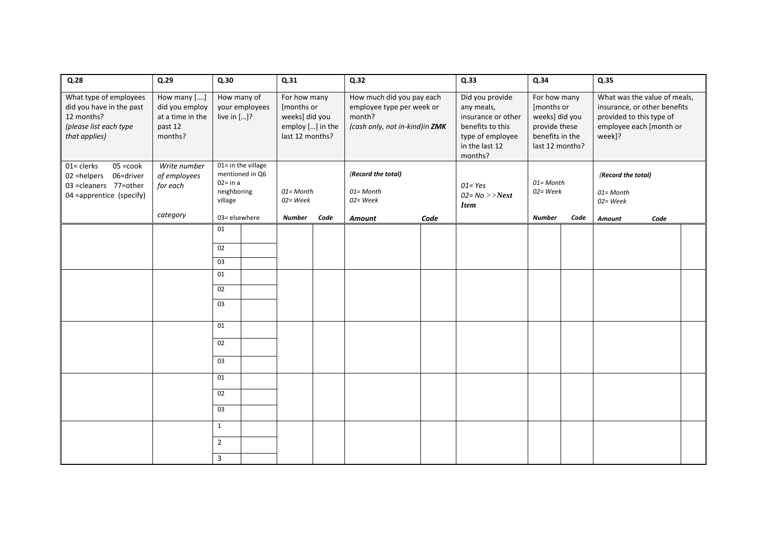| Q.28                                                                                                         | Q.29                                                                    | Q.30                                                                           |                | Q.31                                                                                |      | Q.32                                                                                               |      | Q.33                                                                                                                     | Q.34                                                                                                |      | Q.35                                                                                                                          |      |  |
|--------------------------------------------------------------------------------------------------------------|-------------------------------------------------------------------------|--------------------------------------------------------------------------------|----------------|-------------------------------------------------------------------------------------|------|----------------------------------------------------------------------------------------------------|------|--------------------------------------------------------------------------------------------------------------------------|-----------------------------------------------------------------------------------------------------|------|-------------------------------------------------------------------------------------------------------------------------------|------|--|
| What type of employees<br>did you have in the past<br>12 months?<br>(please list each type<br>that applies)  | How many []<br>did you employ<br>at a time in the<br>past 12<br>months? | How many of<br>live in []?                                                     | your employees | For how many<br>[months or<br>weeks] did you<br>employ [] in the<br>last 12 months? |      | How much did you pay each<br>employee type per week or<br>month?<br>(cash only, not in-kind)in ZMK |      | Did you provide<br>any meals,<br>insurance or other<br>benefits to this<br>type of employee<br>in the last 12<br>months? | For how many<br>[months or<br>weeks] did you<br>provide these<br>benefits in the<br>last 12 months? |      | What was the value of meals,<br>insurance, or other benefits<br>provided to this type of<br>employee each [month or<br>week]? |      |  |
| 01= clerks<br>05 = cook<br>02 = helpers 06 = driver<br>03 = cleaners 77 = other<br>04 = apprentice (specify) | Write number<br>of employees<br>for each                                | 01= in the village<br>mentioned in Q6<br>$02 = in a$<br>neighboring<br>village |                | 01= Month<br>02= Week                                                               |      | (Record the total)<br>01= Month<br>02= Week                                                        |      | $01 = Yes$<br>$02 = No \rightarrow Next$<br><b>Item</b>                                                                  | $01 = M$ onth<br>02= Week                                                                           |      | (Record the total)<br>01= Month<br>$02$ = Week                                                                                |      |  |
|                                                                                                              | category                                                                | 03= elsewhere                                                                  |                | <b>Number</b>                                                                       | Code | <b>Amount</b>                                                                                      | Code |                                                                                                                          | <b>Number</b>                                                                                       | Code | Amount                                                                                                                        | Code |  |
|                                                                                                              |                                                                         | 01                                                                             |                |                                                                                     |      |                                                                                                    |      |                                                                                                                          |                                                                                                     |      |                                                                                                                               |      |  |
|                                                                                                              |                                                                         | 02<br>03                                                                       |                |                                                                                     |      |                                                                                                    |      |                                                                                                                          |                                                                                                     |      |                                                                                                                               |      |  |
|                                                                                                              |                                                                         | 01                                                                             |                |                                                                                     |      |                                                                                                    |      |                                                                                                                          |                                                                                                     |      |                                                                                                                               |      |  |
|                                                                                                              |                                                                         | 02                                                                             |                |                                                                                     |      |                                                                                                    |      |                                                                                                                          |                                                                                                     |      |                                                                                                                               |      |  |
|                                                                                                              |                                                                         | 03                                                                             |                |                                                                                     |      |                                                                                                    |      |                                                                                                                          |                                                                                                     |      |                                                                                                                               |      |  |
|                                                                                                              |                                                                         | 01                                                                             |                |                                                                                     |      |                                                                                                    |      |                                                                                                                          |                                                                                                     |      |                                                                                                                               |      |  |
|                                                                                                              |                                                                         | 02                                                                             |                |                                                                                     |      |                                                                                                    |      |                                                                                                                          |                                                                                                     |      |                                                                                                                               |      |  |
|                                                                                                              |                                                                         | 03                                                                             |                |                                                                                     |      |                                                                                                    |      |                                                                                                                          |                                                                                                     |      |                                                                                                                               |      |  |
|                                                                                                              |                                                                         | 01                                                                             |                |                                                                                     |      |                                                                                                    |      |                                                                                                                          |                                                                                                     |      |                                                                                                                               |      |  |
|                                                                                                              |                                                                         | 02                                                                             |                |                                                                                     |      |                                                                                                    |      |                                                                                                                          |                                                                                                     |      |                                                                                                                               |      |  |
|                                                                                                              |                                                                         | 03                                                                             |                |                                                                                     |      |                                                                                                    |      |                                                                                                                          |                                                                                                     |      |                                                                                                                               |      |  |
|                                                                                                              |                                                                         | $\mathbf{1}$                                                                   |                |                                                                                     |      |                                                                                                    |      |                                                                                                                          |                                                                                                     |      |                                                                                                                               |      |  |
|                                                                                                              |                                                                         | $\overline{2}$                                                                 |                |                                                                                     |      |                                                                                                    |      |                                                                                                                          |                                                                                                     |      |                                                                                                                               |      |  |
|                                                                                                              |                                                                         | $\overline{3}$                                                                 |                |                                                                                     |      |                                                                                                    |      |                                                                                                                          |                                                                                                     |      |                                                                                                                               |      |  |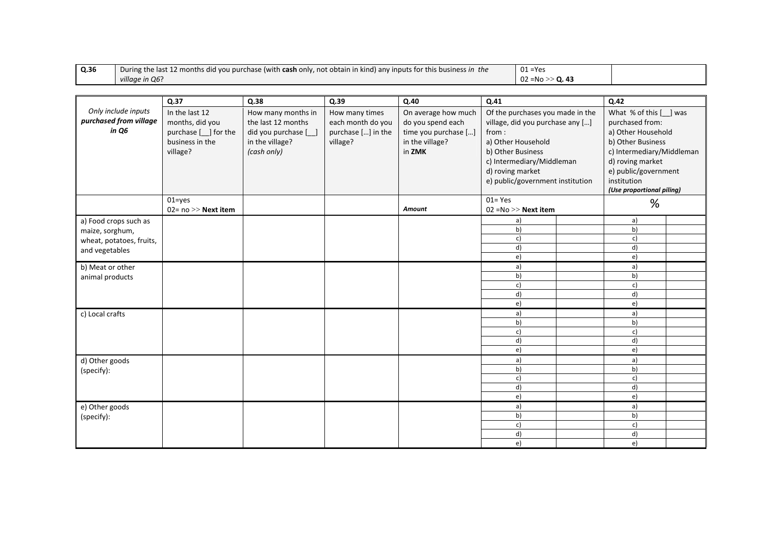| Q.36                     | During the last 12 months did you purchase (with cash only, not obtain in kind) any inputs for this business in the |                      | $01 = Yes$         |                      |                   |                                  |                                  |                                         |  |  |
|--------------------------|---------------------------------------------------------------------------------------------------------------------|----------------------|--------------------|----------------------|-------------------|----------------------------------|----------------------------------|-----------------------------------------|--|--|
| village in Q6?           |                                                                                                                     |                      |                    |                      |                   | 02 = No >> Q. 43                 |                                  |                                         |  |  |
|                          |                                                                                                                     |                      |                    |                      |                   |                                  |                                  |                                         |  |  |
|                          | Q.37                                                                                                                | Q.38                 | Q.39               | Q.40                 | Q.41              |                                  |                                  | Q.42                                    |  |  |
| Only include inputs      | In the last 12                                                                                                      | How many months in   | How many times     | On average how much  |                   |                                  | Of the purchases you made in the | What % of this [_] was                  |  |  |
| purchased from village   | months, did you                                                                                                     | the last 12 months   | each month do you  | do you spend each    |                   | village, did you purchase any [] |                                  | purchased from:                         |  |  |
| in Q6                    | purchase [ <i>_</i> ] for the                                                                                       | did you purchase [_] | purchase [] in the | time you purchase [] | from:             |                                  |                                  | a) Other Household<br>b) Other Business |  |  |
|                          | business in the                                                                                                     | in the village?      | village?           | in the village?      |                   | a) Other Household               |                                  |                                         |  |  |
|                          | village?                                                                                                            | (cash only)          |                    | in ZMK               | b) Other Business |                                  |                                  | c) Intermediary/Middleman               |  |  |
|                          |                                                                                                                     |                      |                    |                      |                   | c) Intermediary/Middleman        |                                  | d) roving market                        |  |  |
|                          |                                                                                                                     |                      |                    |                      | d) roving market  |                                  |                                  | e) public/government                    |  |  |
|                          |                                                                                                                     |                      |                    |                      |                   | e) public/government institution |                                  | institution                             |  |  |
|                          |                                                                                                                     |                      |                    |                      |                   |                                  |                                  | (Use proportional piling)               |  |  |
|                          | $01 = yes$                                                                                                          |                      |                    |                      | $01 = Yes$        |                                  |                                  |                                         |  |  |
|                          | 02= $no \gg$ Next item                                                                                              |                      |                    | Amount               |                   | $02 = No >>$ Next item           |                                  | %                                       |  |  |
| a) Food crops such as    |                                                                                                                     |                      |                    |                      |                   | a)                               |                                  | a)                                      |  |  |
| maize, sorghum,          |                                                                                                                     |                      |                    |                      |                   | b)                               |                                  | b)                                      |  |  |
| wheat, potatoes, fruits, |                                                                                                                     |                      |                    |                      |                   | c)                               |                                  | c)                                      |  |  |
| and vegetables           |                                                                                                                     |                      |                    |                      |                   | d)                               |                                  | d)                                      |  |  |
|                          |                                                                                                                     |                      |                    |                      |                   | e)                               |                                  | e)                                      |  |  |
| b) Meat or other         |                                                                                                                     |                      |                    |                      |                   | a)                               |                                  | a)                                      |  |  |
| animal products          |                                                                                                                     |                      |                    |                      |                   | b)                               |                                  | b)                                      |  |  |
|                          |                                                                                                                     |                      |                    |                      |                   | c)                               |                                  | c)                                      |  |  |
|                          |                                                                                                                     |                      |                    |                      |                   | d)                               |                                  | d)                                      |  |  |
|                          |                                                                                                                     |                      |                    |                      |                   | e)                               |                                  | e)                                      |  |  |
| c) Local crafts          |                                                                                                                     |                      |                    |                      |                   | a)                               |                                  | a)                                      |  |  |
|                          |                                                                                                                     |                      |                    |                      |                   | b)                               |                                  | b)                                      |  |  |
|                          |                                                                                                                     |                      |                    |                      |                   | c)<br>d)                         |                                  | c)<br>d)                                |  |  |
|                          |                                                                                                                     |                      |                    |                      |                   | e)                               |                                  | e)                                      |  |  |
| d) Other goods           |                                                                                                                     |                      |                    |                      |                   | a)                               |                                  | a)                                      |  |  |
| (specify):               |                                                                                                                     |                      |                    |                      |                   | b)                               |                                  | b)                                      |  |  |
|                          |                                                                                                                     |                      |                    |                      |                   | c)                               |                                  | c)                                      |  |  |
|                          |                                                                                                                     |                      |                    |                      |                   | d)                               |                                  | d)                                      |  |  |
|                          |                                                                                                                     |                      |                    |                      |                   | e)                               |                                  | e)                                      |  |  |
| e) Other goods           |                                                                                                                     |                      |                    |                      |                   | a)                               |                                  | a)                                      |  |  |
| (specify):               |                                                                                                                     |                      |                    |                      |                   | b)                               |                                  | b)                                      |  |  |
|                          |                                                                                                                     |                      |                    |                      |                   | c)                               |                                  | c)                                      |  |  |
|                          |                                                                                                                     |                      |                    |                      |                   | d)                               |                                  | d)                                      |  |  |
|                          |                                                                                                                     |                      |                    |                      |                   | e)                               |                                  | e)                                      |  |  |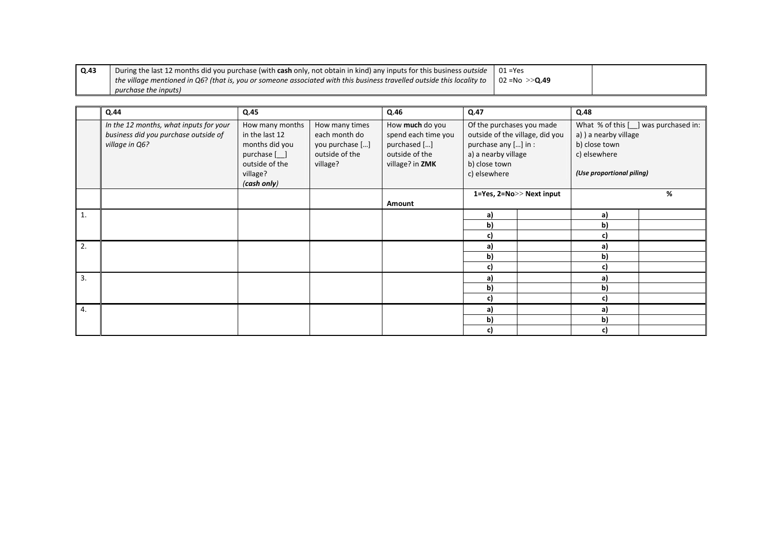| $\vert$ Q.43 | During the last 12 months did you purchase (with cash only, not obtain in kind) any inputs for this business outside          | $01 = Yes$              |  |
|--------------|-------------------------------------------------------------------------------------------------------------------------------|-------------------------|--|
|              | $\mid$ the village mentioned in Q6? (that is, you or someone associated with this business travelled outside this locality to | l 02 =No >> <b>Q.49</b> |  |
|              | purchase the inputs)                                                                                                          |                         |  |

|    | Q.44                                                                                             | Q.45                                                                                                             |                                                                                  | Q.46                                                                                        | Q.47                                                                                                                                         |  | Q.48                                                                                |                                      |
|----|--------------------------------------------------------------------------------------------------|------------------------------------------------------------------------------------------------------------------|----------------------------------------------------------------------------------|---------------------------------------------------------------------------------------------|----------------------------------------------------------------------------------------------------------------------------------------------|--|-------------------------------------------------------------------------------------|--------------------------------------|
|    | In the 12 months, what inputs for your<br>business did you purchase outside of<br>village in Q6? | How many months<br>in the last 12<br>months did you<br>purchase [_]<br>outside of the<br>village?<br>(cash only) | How many times<br>each month do<br>you purchase []<br>outside of the<br>village? | How much do you<br>spend each time you<br>purchased []<br>outside of the<br>village? in ZMK | Of the purchases you made<br>outside of the village, did you<br>purchase any [] in :<br>a) a nearby village<br>b) close town<br>c) elsewhere |  | a) ) a nearby village<br>b) close town<br>c) elsewhere<br>(Use proportional piling) | What % of this [ ] was purchased in: |
|    |                                                                                                  |                                                                                                                  |                                                                                  | Amount                                                                                      | 1=Yes, 2=No>> Next input                                                                                                                     |  |                                                                                     | %                                    |
| 1. |                                                                                                  |                                                                                                                  |                                                                                  |                                                                                             | a)                                                                                                                                           |  | a)                                                                                  |                                      |
|    |                                                                                                  |                                                                                                                  |                                                                                  |                                                                                             | b)                                                                                                                                           |  | b)                                                                                  |                                      |
|    |                                                                                                  |                                                                                                                  |                                                                                  |                                                                                             | c)                                                                                                                                           |  | c)                                                                                  |                                      |
| 2. |                                                                                                  |                                                                                                                  |                                                                                  |                                                                                             | a)                                                                                                                                           |  | a)                                                                                  |                                      |
|    |                                                                                                  |                                                                                                                  |                                                                                  |                                                                                             | b)                                                                                                                                           |  | b)                                                                                  |                                      |
|    |                                                                                                  |                                                                                                                  |                                                                                  |                                                                                             | c)                                                                                                                                           |  | c)                                                                                  |                                      |
| 3. |                                                                                                  |                                                                                                                  |                                                                                  |                                                                                             | a)                                                                                                                                           |  | a)                                                                                  |                                      |
|    |                                                                                                  |                                                                                                                  |                                                                                  |                                                                                             | b)                                                                                                                                           |  | b)                                                                                  |                                      |
|    |                                                                                                  |                                                                                                                  |                                                                                  |                                                                                             | c)                                                                                                                                           |  | c)                                                                                  |                                      |
| 4. |                                                                                                  |                                                                                                                  |                                                                                  |                                                                                             | a)                                                                                                                                           |  | a)                                                                                  |                                      |
|    |                                                                                                  |                                                                                                                  |                                                                                  |                                                                                             | b)                                                                                                                                           |  | b)                                                                                  |                                      |
|    |                                                                                                  |                                                                                                                  |                                                                                  |                                                                                             | c)                                                                                                                                           |  | C                                                                                   |                                      |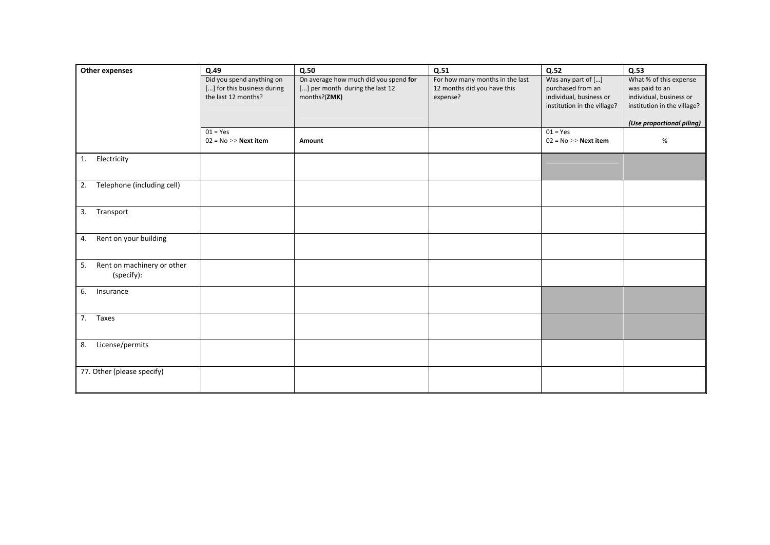| Other expenses                   | Q.49                        | Q.50                                  | Q.51                            | Q.52                        | Q.53                        |
|----------------------------------|-----------------------------|---------------------------------------|---------------------------------|-----------------------------|-----------------------------|
|                                  | Did you spend anything on   | On average how much did you spend for | For how many months in the last | Was any part of []          | What % of this expense      |
|                                  | [] for this business during | [] per month during the last 12       | 12 months did you have this     | purchased from an           | was paid to an              |
|                                  | the last 12 months?         | months?(ZMK)                          | expense?                        | individual, business or     | individual, business or     |
|                                  |                             |                                       |                                 | institution in the village? | institution in the village? |
|                                  |                             |                                       |                                 |                             |                             |
|                                  |                             |                                       |                                 |                             | (Use proportional piling)   |
|                                  | $01 = Yes$                  |                                       |                                 | $01 = Yes$                  |                             |
|                                  | $02 = No \gg$ Next item     | Amount                                |                                 | $02 = No \gg$ Next item     | %                           |
|                                  |                             |                                       |                                 |                             |                             |
| 1.<br>Electricity                |                             |                                       |                                 |                             |                             |
|                                  |                             |                                       |                                 |                             |                             |
| Telephone (including cell)<br>2. |                             |                                       |                                 |                             |                             |
|                                  |                             |                                       |                                 |                             |                             |
|                                  |                             |                                       |                                 |                             |                             |
| 3. Transport                     |                             |                                       |                                 |                             |                             |
|                                  |                             |                                       |                                 |                             |                             |
|                                  |                             |                                       |                                 |                             |                             |
| Rent on your building<br>4.      |                             |                                       |                                 |                             |                             |
|                                  |                             |                                       |                                 |                             |                             |
|                                  |                             |                                       |                                 |                             |                             |
| Rent on machinery or other<br>5. |                             |                                       |                                 |                             |                             |
| (specify):                       |                             |                                       |                                 |                             |                             |
| 6.<br>Insurance                  |                             |                                       |                                 |                             |                             |
|                                  |                             |                                       |                                 |                             |                             |
|                                  |                             |                                       |                                 |                             |                             |
| 7. Taxes                         |                             |                                       |                                 |                             |                             |
|                                  |                             |                                       |                                 |                             |                             |
|                                  |                             |                                       |                                 |                             |                             |
| License/permits<br>8.            |                             |                                       |                                 |                             |                             |
|                                  |                             |                                       |                                 |                             |                             |
|                                  |                             |                                       |                                 |                             |                             |
|                                  |                             |                                       |                                 |                             |                             |
|                                  |                             |                                       |                                 |                             |                             |
| 77. Other (please specify)       |                             |                                       |                                 |                             |                             |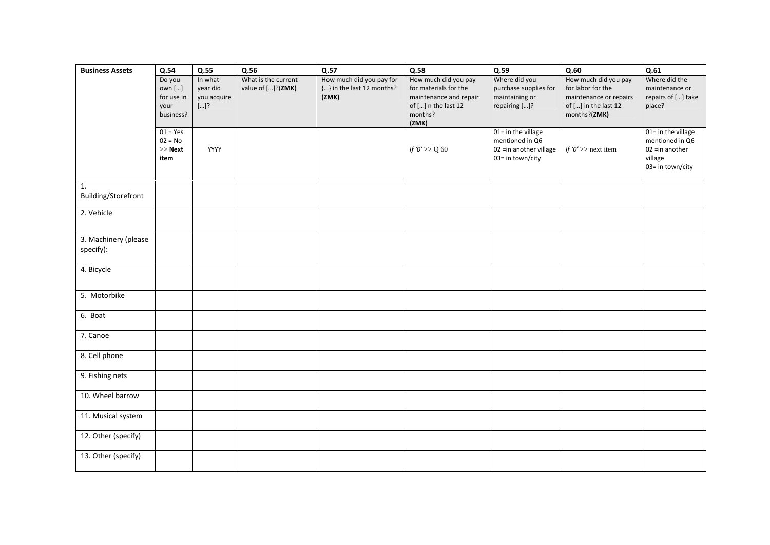| <b>Business Assets</b> | Q.54                 | Q.55                    | Q.56                | Q.57                               | Q.58                                            | Q.59                                       | Q.60                                        | Q.61                                 |
|------------------------|----------------------|-------------------------|---------------------|------------------------------------|-------------------------------------------------|--------------------------------------------|---------------------------------------------|--------------------------------------|
|                        | Do you               | In what                 | What is the current | How much did you pay for           | How much did you pay                            | Where did you                              | How much did you pay                        | Where did the                        |
|                        | own []<br>for use in | year did<br>you acquire | value of []?(ZMK)   | {} in the last 12 months?<br>(ZMK) | for materials for the<br>maintenance and repair | purchase supplies for<br>maintaining or    | for labor for the<br>maintenance or repairs | maintenance or<br>repairs of [] take |
|                        | your                 | $[]$ ?                  |                     |                                    | of [] n the last 12                             | repairing []?                              | of [] in the last 12                        | place?                               |
|                        | business?            |                         |                     |                                    | months?                                         |                                            | months?(ZMK)                                |                                      |
|                        |                      |                         |                     |                                    | (ZMK)                                           |                                            |                                             |                                      |
|                        | $01 = Yes$           |                         |                     |                                    |                                                 | 01= in the village                         |                                             | 01= in the village                   |
|                        | $02 = No$            |                         |                     |                                    |                                                 | mentioned in Q6                            |                                             | mentioned in Q6                      |
|                        | $>>$ Next<br>item    | YYYY                    |                     |                                    | If 'O' >> Q 60                                  | 02 =in another village<br>03= in town/city | If ' $0' \gg$ next item                     | $02$ =in another<br>village          |
|                        |                      |                         |                     |                                    |                                                 |                                            |                                             | 03= in town/city                     |
|                        |                      |                         |                     |                                    |                                                 |                                            |                                             |                                      |
| 1.                     |                      |                         |                     |                                    |                                                 |                                            |                                             |                                      |
| Building/Storefront    |                      |                         |                     |                                    |                                                 |                                            |                                             |                                      |
| 2. Vehicle             |                      |                         |                     |                                    |                                                 |                                            |                                             |                                      |
|                        |                      |                         |                     |                                    |                                                 |                                            |                                             |                                      |
| 3. Machinery (please   |                      |                         |                     |                                    |                                                 |                                            |                                             |                                      |
| specify):              |                      |                         |                     |                                    |                                                 |                                            |                                             |                                      |
|                        |                      |                         |                     |                                    |                                                 |                                            |                                             |                                      |
| 4. Bicycle             |                      |                         |                     |                                    |                                                 |                                            |                                             |                                      |
|                        |                      |                         |                     |                                    |                                                 |                                            |                                             |                                      |
| 5. Motorbike           |                      |                         |                     |                                    |                                                 |                                            |                                             |                                      |
|                        |                      |                         |                     |                                    |                                                 |                                            |                                             |                                      |
| 6. Boat                |                      |                         |                     |                                    |                                                 |                                            |                                             |                                      |
| 7. Canoe               |                      |                         |                     |                                    |                                                 |                                            |                                             |                                      |
|                        |                      |                         |                     |                                    |                                                 |                                            |                                             |                                      |
| 8. Cell phone          |                      |                         |                     |                                    |                                                 |                                            |                                             |                                      |
|                        |                      |                         |                     |                                    |                                                 |                                            |                                             |                                      |
| 9. Fishing nets        |                      |                         |                     |                                    |                                                 |                                            |                                             |                                      |
| 10. Wheel barrow       |                      |                         |                     |                                    |                                                 |                                            |                                             |                                      |
|                        |                      |                         |                     |                                    |                                                 |                                            |                                             |                                      |
| 11. Musical system     |                      |                         |                     |                                    |                                                 |                                            |                                             |                                      |
| 12. Other (specify)    |                      |                         |                     |                                    |                                                 |                                            |                                             |                                      |
|                        |                      |                         |                     |                                    |                                                 |                                            |                                             |                                      |
| 13. Other (specify)    |                      |                         |                     |                                    |                                                 |                                            |                                             |                                      |
|                        |                      |                         |                     |                                    |                                                 |                                            |                                             |                                      |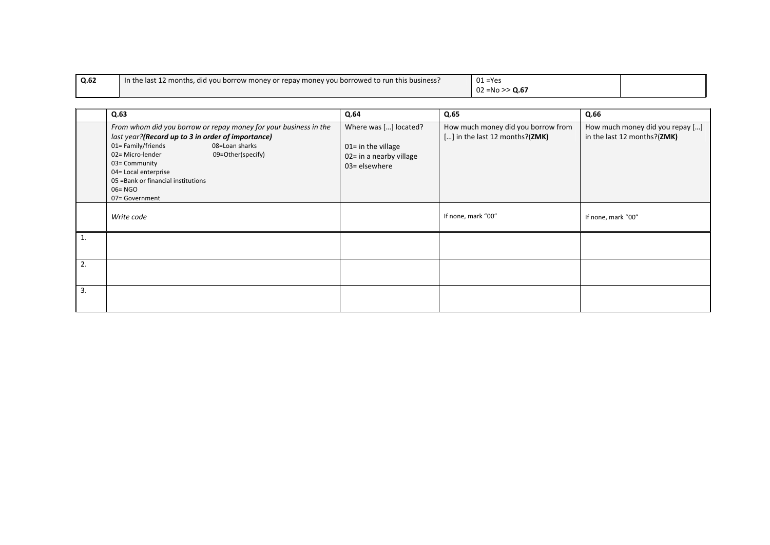| Q.62 | In the last 12 months, did you borrow money or repay money you borrowed to run this business? | $01 = Yes$        |  |
|------|-----------------------------------------------------------------------------------------------|-------------------|--|
|      |                                                                                               | $02 = No >> Q.67$ |  |

|    | Q.63                                                                                                                                                                                                                                                                                                                  | Q.64                                                                                       | Q.65                                                                 | Q.66                                                           |
|----|-----------------------------------------------------------------------------------------------------------------------------------------------------------------------------------------------------------------------------------------------------------------------------------------------------------------------|--------------------------------------------------------------------------------------------|----------------------------------------------------------------------|----------------------------------------------------------------|
|    | From whom did you borrow or repay money for your business in the<br>last year?(Record up to 3 in order of importance)<br>01=Family/friends<br>08=Loan sharks<br>02= Micro-lender<br>09=Other(specify)<br>03= Community<br>04= Local enterprise<br>05 = Bank or financial institutions<br>$06 = NGO$<br>07= Government | Where was [] located?<br>$01 =$ in the village<br>02= in a nearby village<br>03= elsewhere | How much money did you borrow from<br>[] in the last 12 months?(ZMK) | How much money did you repay []<br>in the last 12 months?(ZMK) |
|    | Write code                                                                                                                                                                                                                                                                                                            |                                                                                            | If none, mark "00"                                                   | If none, mark "00"                                             |
| 1. |                                                                                                                                                                                                                                                                                                                       |                                                                                            |                                                                      |                                                                |
| 2. |                                                                                                                                                                                                                                                                                                                       |                                                                                            |                                                                      |                                                                |
| 3. |                                                                                                                                                                                                                                                                                                                       |                                                                                            |                                                                      |                                                                |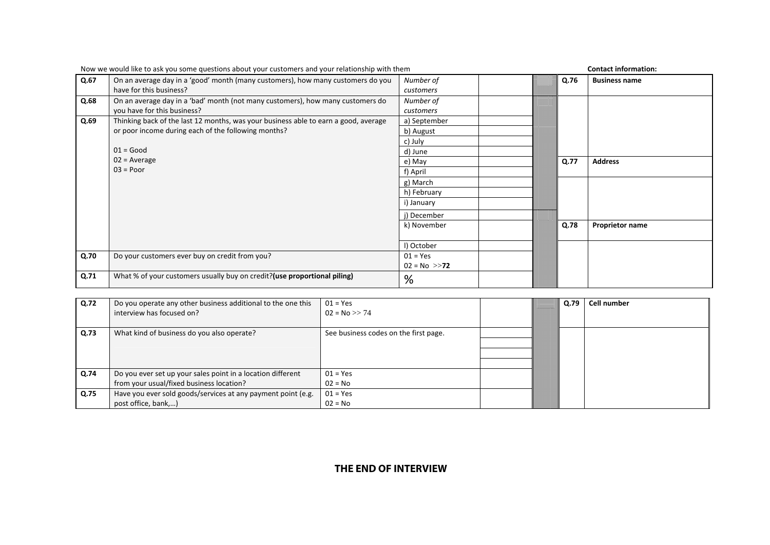|      | Now we would like to ask you some questions about your customers and your relationship with them |                  |  |      | <b>Contact information:</b> |  |  |
|------|--------------------------------------------------------------------------------------------------|------------------|--|------|-----------------------------|--|--|
| Q.67 | On an average day in a 'good' month (many customers), how many customers do you                  | Number of        |  | Q.76 | <b>Business name</b>        |  |  |
|      | have for this business?                                                                          | customers        |  |      |                             |  |  |
| Q.68 | On an average day in a 'bad' month (not many customers), how many customers do                   | Number of        |  |      |                             |  |  |
|      | you have for this business?                                                                      | customers        |  |      |                             |  |  |
| Q.69 | Thinking back of the last 12 months, was your business able to earn a good, average              | a) September     |  |      |                             |  |  |
|      | or poor income during each of the following months?                                              | b) August        |  |      |                             |  |  |
|      |                                                                                                  | c) July          |  |      |                             |  |  |
|      | $01 = Good$                                                                                      | d) June          |  |      |                             |  |  |
|      | $02$ = Average                                                                                   | e) May           |  | Q.77 | <b>Address</b>              |  |  |
|      | $03 = Poor$                                                                                      | f) April         |  |      |                             |  |  |
|      |                                                                                                  | g) March         |  |      |                             |  |  |
|      |                                                                                                  | h) February      |  |      |                             |  |  |
|      |                                                                                                  | i) January       |  |      |                             |  |  |
|      |                                                                                                  | j) December      |  |      |                             |  |  |
|      |                                                                                                  | k) November      |  | Q.78 | <b>Proprietor name</b>      |  |  |
|      |                                                                                                  |                  |  |      |                             |  |  |
|      |                                                                                                  | I) October       |  |      |                             |  |  |
| Q.70 | Do your customers ever buy on credit from you?                                                   | $01 = Yes$       |  |      |                             |  |  |
|      |                                                                                                  | $02 = No \gg 72$ |  |      |                             |  |  |
| Q.71 | What % of your customers usually buy on credit? (use proportional piling)                        | %                |  |      |                             |  |  |
|      |                                                                                                  |                  |  |      |                             |  |  |

| Now we would like to ask you some questions about your customers and your relationship with them |  |
|--------------------------------------------------------------------------------------------------|--|
|--------------------------------------------------------------------------------------------------|--|

| Q.72 | Do you operate any other business additional to the one this<br>interview has focused on?               | $01 = Yes$<br>$02 = No \gg 74$        | Q.79 | <b>Cell number</b> |
|------|---------------------------------------------------------------------------------------------------------|---------------------------------------|------|--------------------|
| Q.73 | What kind of business do you also operate?                                                              | See business codes on the first page. |      |                    |
| Q.74 | Do you ever set up your sales point in a location different<br>from your usual/fixed business location? | $01 = Yes$<br>$02 = No$               |      |                    |
| Q.75 | Have you ever sold goods/services at any payment point (e.g.<br>post office, bank,)                     | $01 = Yes$<br>$02 = No$               |      |                    |

# **THE END OF INTERVIEW**